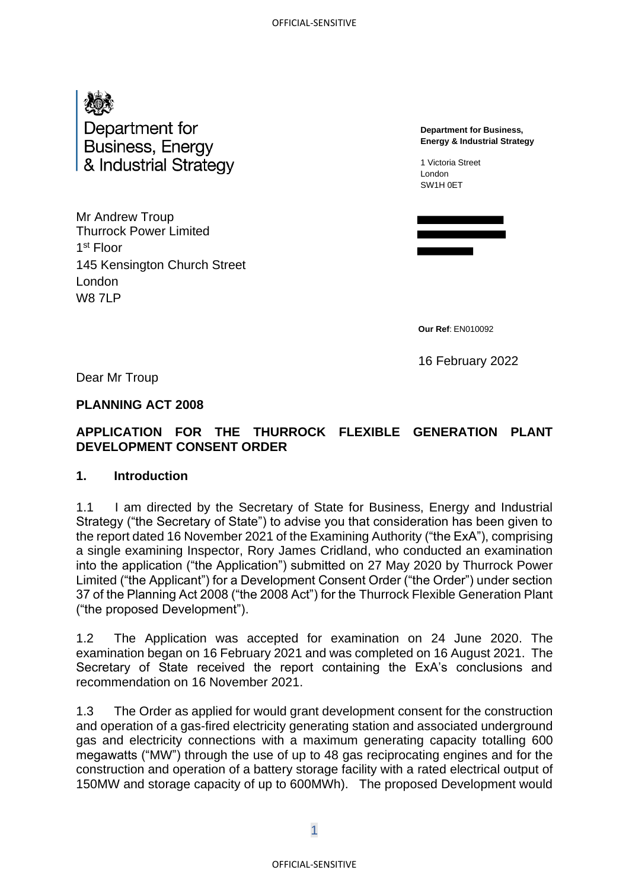

Mr Andrew Troup Thurrock Power Limited 1 st Floor 145 Kensington Church Street London **W8 7LP** 

**Department for Business, Energy & Industrial Strategy**

1 Victoria Street London SW1H 0ET

**Our Ref**: EN010092

16 February 2022

Dear Mr Troup

## **PLANNING ACT 2008**

## **APPLICATION FOR THE THURROCK FLEXIBLE GENERATION PLANT DEVELOPMENT CONSENT ORDER**

### **1. Introduction**

1.1 I am directed by the Secretary of State for Business, Energy and Industrial Strategy ("the Secretary of State") to advise you that consideration has been given to the report dated 16 November 2021 of the Examining Authority ("the ExA"), comprising a single examining Inspector, Rory James Cridland, who conducted an examination into the application ("the Application") submitted on 27 May 2020 by Thurrock Power Limited ("the Applicant") for a Development Consent Order ("the Order") under section 37 of the Planning Act 2008 ("the 2008 Act") for the Thurrock Flexible Generation Plant ("the proposed Development").

1.2 The Application was accepted for examination on 24 June 2020. The examination began on 16 February 2021 and was completed on 16 August 2021. The Secretary of State received the report containing the ExA's conclusions and recommendation on 16 November 2021.

1.3 The Order as applied for would grant development consent for the construction and operation of a gas-fired electricity generating station and associated underground gas and electricity connections with a maximum generating capacity totalling 600 megawatts ("MW") through the use of up to 48 gas reciprocating engines and for the construction and operation of a battery storage facility with a rated electrical output of 150MW and storage capacity of up to 600MWh). The proposed Development would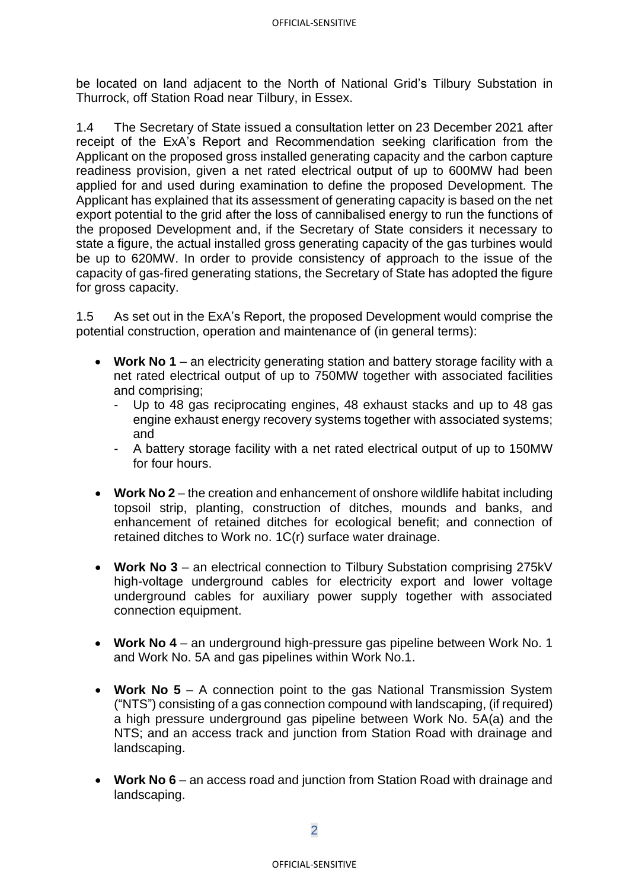be located on land adjacent to the North of National Grid's Tilbury Substation in Thurrock, off Station Road near Tilbury, in Essex.

1.4 The Secretary of State issued a consultation letter on 23 December 2021 after receipt of the ExA's Report and Recommendation seeking clarification from the Applicant on the proposed gross installed generating capacity and the carbon capture readiness provision, given a net rated electrical output of up to 600MW had been applied for and used during examination to define the proposed Development. The Applicant has explained that its assessment of generating capacity is based on the net export potential to the grid after the loss of cannibalised energy to run the functions of the proposed Development and, if the Secretary of State considers it necessary to state a figure, the actual installed gross generating capacity of the gas turbines would be up to 620MW. In order to provide consistency of approach to the issue of the capacity of gas-fired generating stations, the Secretary of State has adopted the figure for gross capacity.

1.5 As set out in the ExA's Report, the proposed Development would comprise the potential construction, operation and maintenance of (in general terms):

- **Work No 1** an electricity generating station and battery storage facility with a net rated electrical output of up to 750MW together with associated facilities and comprising;
	- Up to 48 gas reciprocating engines, 48 exhaust stacks and up to 48 gas engine exhaust energy recovery systems together with associated systems; and
	- A battery storage facility with a net rated electrical output of up to 150MW for four hours.
- **Work No 2** the creation and enhancement of onshore wildlife habitat including topsoil strip, planting, construction of ditches, mounds and banks, and enhancement of retained ditches for ecological benefit; and connection of retained ditches to Work no. 1C(r) surface water drainage.
- **Work No 3** an electrical connection to Tilbury Substation comprising 275kV high-voltage underground cables for electricity export and lower voltage underground cables for auxiliary power supply together with associated connection equipment.
- **Work No 4** an underground high-pressure gas pipeline between Work No. 1 and Work No. 5A and gas pipelines within Work No.1.
- **Work No 5** A connection point to the gas National Transmission System ("NTS") consisting of a gas connection compound with landscaping, (if required) a high pressure underground gas pipeline between Work No. 5A(a) and the NTS; and an access track and junction from Station Road with drainage and landscaping.
- **Work No 6** an access road and junction from Station Road with drainage and landscaping.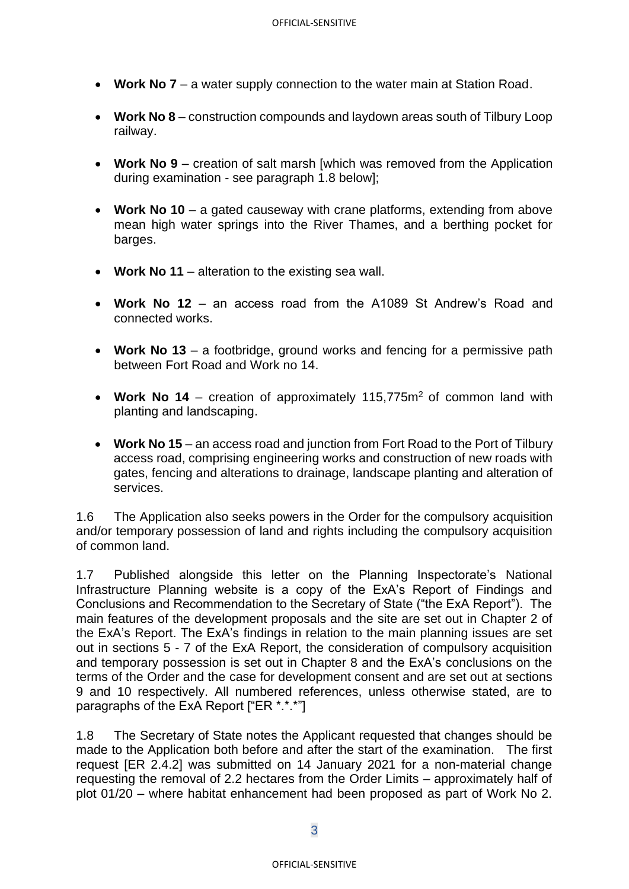- **Work No 7** a water supply connection to the water main at Station Road.
- **Work No 8** construction compounds and laydown areas south of Tilbury Loop railway.
- **Work No 9** creation of salt marsh [which was removed from the Application during examination - see paragraph 1.8 below];
- **Work No 10**  a gated causeway with crane platforms, extending from above mean high water springs into the River Thames, and a berthing pocket for barges.
- **Work No 11** alteration to the existing sea wall.
- **Work No 12** an access road from the A1089 St Andrew's Road and connected works.
- **Work No 13** a footbridge, ground works and fencing for a permissive path between Fort Road and Work no 14.
- Work No 14 creation of approximately 115,775m<sup>2</sup> of common land with planting and landscaping.
- **Work No 15** an access road and junction from Fort Road to the Port of Tilbury access road, comprising engineering works and construction of new roads with gates, fencing and alterations to drainage, landscape planting and alteration of services.

1.6 The Application also seeks powers in the Order for the compulsory acquisition and/or temporary possession of land and rights including the compulsory acquisition of common land.

1.7 Published alongside this letter on the Planning Inspectorate's National Infrastructure Planning website is a copy of the ExA's Report of Findings and Conclusions and Recommendation to the Secretary of State ("the ExA Report"). The main features of the development proposals and the site are set out in Chapter 2 of the ExA's Report. The ExA's findings in relation to the main planning issues are set out in sections 5 - 7 of the ExA Report, the consideration of compulsory acquisition and temporary possession is set out in Chapter 8 and the ExA's conclusions on the terms of the Order and the case for development consent and are set out at sections 9 and 10 respectively. All numbered references, unless otherwise stated, are to paragraphs of the ExA Report ["ER \*.\*.\*"]

1.8 The Secretary of State notes the Applicant requested that changes should be made to the Application both before and after the start of the examination. The first request [ER 2.4.2] was submitted on 14 January 2021 for a non-material change requesting the removal of 2.2 hectares from the Order Limits – approximately half of plot 01/20 – where habitat enhancement had been proposed as part of Work No 2.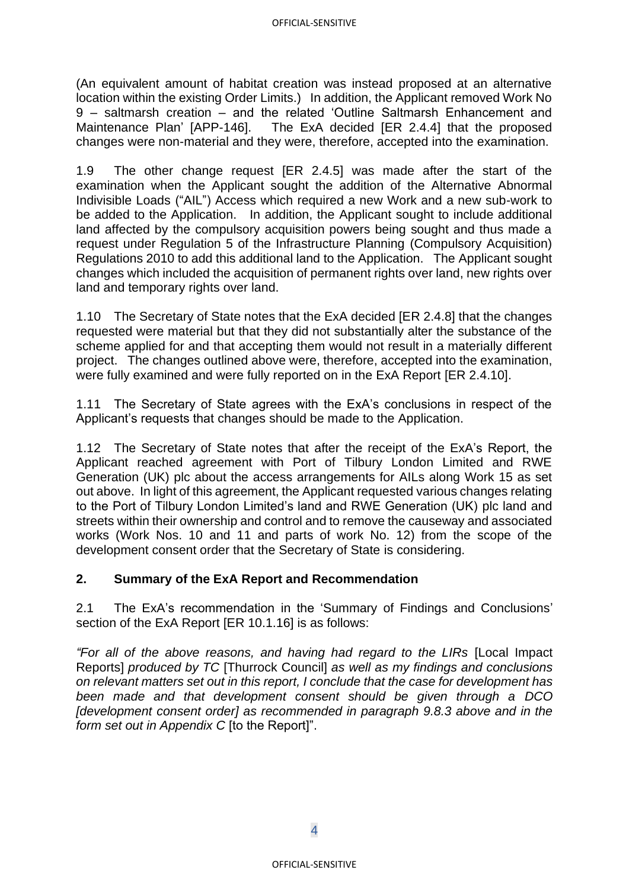(An equivalent amount of habitat creation was instead proposed at an alternative location within the existing Order Limits.) In addition, the Applicant removed Work No 9 – saltmarsh creation – and the related 'Outline Saltmarsh Enhancement and Maintenance Plan' [APP-146]. The ExA decided [ER 2.4.4] that the proposed changes were non-material and they were, therefore, accepted into the examination.

1.9 The other change request [ER 2.4.5] was made after the start of the examination when the Applicant sought the addition of the Alternative Abnormal Indivisible Loads ("AIL") Access which required a new Work and a new sub-work to be added to the Application. In addition, the Applicant sought to include additional land affected by the compulsory acquisition powers being sought and thus made a request under Regulation 5 of the Infrastructure Planning (Compulsory Acquisition) Regulations 2010 to add this additional land to the Application. The Applicant sought changes which included the acquisition of permanent rights over land, new rights over land and temporary rights over land.

1.10 The Secretary of State notes that the ExA decided [ER 2.4.8] that the changes requested were material but that they did not substantially alter the substance of the scheme applied for and that accepting them would not result in a materially different project. The changes outlined above were, therefore, accepted into the examination, were fully examined and were fully reported on in the ExA Report [ER 2.4.10].

1.11 The Secretary of State agrees with the ExA's conclusions in respect of the Applicant's requests that changes should be made to the Application.

1.12 The Secretary of State notes that after the receipt of the ExA's Report, the Applicant reached agreement with Port of Tilbury London Limited and RWE Generation (UK) plc about the access arrangements for AILs along Work 15 as set out above. In light of this agreement, the Applicant requested various changes relating to the Port of Tilbury London Limited's land and RWE Generation (UK) plc land and streets within their ownership and control and to remove the causeway and associated works (Work Nos. 10 and 11 and parts of work No. 12) from the scope of the development consent order that the Secretary of State is considering.

### **2. Summary of the ExA Report and Recommendation**

2.1 The ExA's recommendation in the 'Summary of Findings and Conclusions' section of the ExA Report [ER 10.1.16] is as follows:

*"For all of the above reasons, and having had regard to the LIRs* [Local Impact Reports] *produced by TC* [Thurrock Council] *as well as my findings and conclusions on relevant matters set out in this report, I conclude that the case for development has been made and that development consent should be given through a DCO [development consent order] as recommended in paragraph 9.8.3 above and in the form set out in Appendix C* [to the Report]".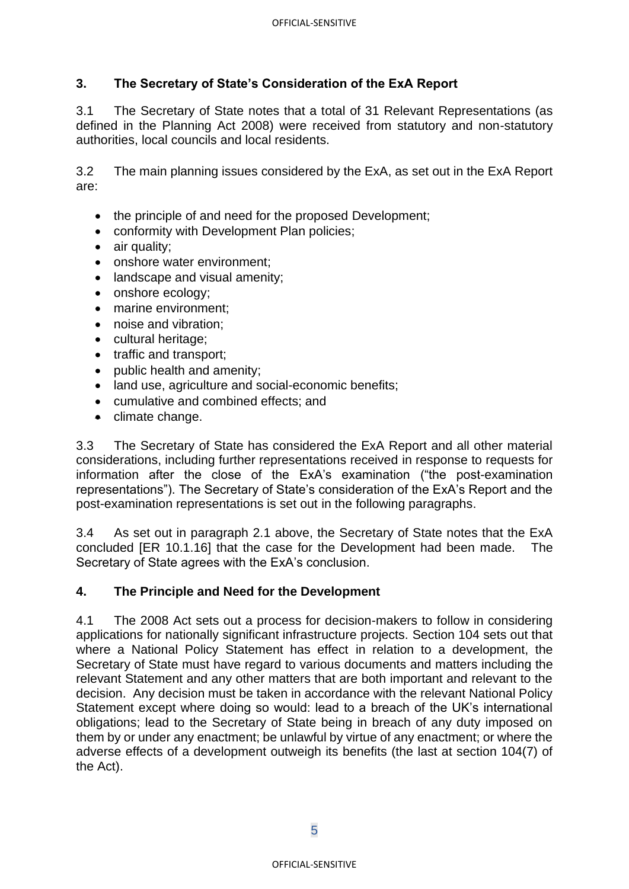## **3. The Secretary of State's Consideration of the ExA Report**

3.1 The Secretary of State notes that a total of 31 Relevant Representations (as defined in the Planning Act 2008) were received from statutory and non-statutory authorities, local councils and local residents.

3.2 The main planning issues considered by the ExA, as set out in the ExA Report are:

- the principle of and need for the proposed Development;
- conformity with Development Plan policies;
- air quality;
- onshore water environment:
- landscape and visual amenity;
- onshore ecology;
- marine environment:
- noise and vibration;
- cultural heritage;
- traffic and transport:
- public health and amenity;
- land use, agriculture and social-economic benefits;
- cumulative and combined effects; and
- climate change.

3.3 The Secretary of State has considered the ExA Report and all other material considerations, including further representations received in response to requests for information after the close of the ExA's examination ("the post-examination representations"). The Secretary of State's consideration of the ExA's Report and the post-examination representations is set out in the following paragraphs.

3.4 As set out in paragraph 2.1 above, the Secretary of State notes that the ExA concluded [ER 10.1.16] that the case for the Development had been made. The Secretary of State agrees with the ExA's conclusion.

### **4. The Principle and Need for the Development**

4.1 The 2008 Act sets out a process for decision-makers to follow in considering applications for nationally significant infrastructure projects. Section 104 sets out that where a National Policy Statement has effect in relation to a development, the Secretary of State must have regard to various documents and matters including the relevant Statement and any other matters that are both important and relevant to the decision. Any decision must be taken in accordance with the relevant National Policy Statement except where doing so would: lead to a breach of the UK's international obligations; lead to the Secretary of State being in breach of any duty imposed on them by or under any enactment; be unlawful by virtue of any enactment; or where the adverse effects of a development outweigh its benefits (the last at section 104(7) of the Act).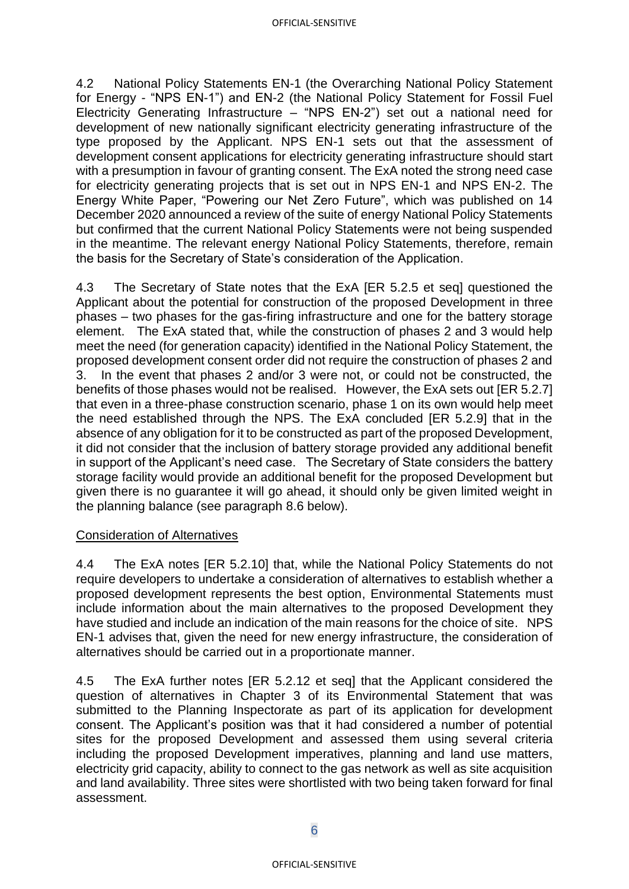4.2 National Policy Statements EN-1 (the Overarching National Policy Statement for Energy - "NPS EN-1") and EN-2 (the National Policy Statement for Fossil Fuel Electricity Generating Infrastructure – "NPS EN-2") set out a national need for development of new nationally significant electricity generating infrastructure of the type proposed by the Applicant. NPS EN-1 sets out that the assessment of development consent applications for electricity generating infrastructure should start with a presumption in favour of granting consent. The ExA noted the strong need case for electricity generating projects that is set out in NPS EN-1 and NPS EN-2. The Energy White Paper, "Powering our Net Zero Future", which was published on 14 December 2020 announced a review of the suite of energy National Policy Statements but confirmed that the current National Policy Statements were not being suspended in the meantime. The relevant energy National Policy Statements, therefore, remain the basis for the Secretary of State's consideration of the Application.

4.3 The Secretary of State notes that the ExA [ER 5.2.5 et seq] questioned the Applicant about the potential for construction of the proposed Development in three phases – two phases for the gas-firing infrastructure and one for the battery storage element. The ExA stated that, while the construction of phases 2 and 3 would help meet the need (for generation capacity) identified in the National Policy Statement, the proposed development consent order did not require the construction of phases 2 and 3. In the event that phases 2 and/or 3 were not, or could not be constructed, the benefits of those phases would not be realised. However, the ExA sets out [ER 5.2.7] that even in a three-phase construction scenario, phase 1 on its own would help meet the need established through the NPS. The ExA concluded [ER 5.2.9] that in the absence of any obligation for it to be constructed as part of the proposed Development, it did not consider that the inclusion of battery storage provided any additional benefit in support of the Applicant's need case. The Secretary of State considers the battery storage facility would provide an additional benefit for the proposed Development but given there is no guarantee it will go ahead, it should only be given limited weight in the planning balance (see paragraph 8.6 below).

#### Consideration of Alternatives

4.4 The ExA notes [ER 5.2.10] that, while the National Policy Statements do not require developers to undertake a consideration of alternatives to establish whether a proposed development represents the best option, Environmental Statements must include information about the main alternatives to the proposed Development they have studied and include an indication of the main reasons for the choice of site. NPS EN-1 advises that, given the need for new energy infrastructure, the consideration of alternatives should be carried out in a proportionate manner.

4.5 The ExA further notes [ER 5.2.12 et seq] that the Applicant considered the question of alternatives in Chapter 3 of its Environmental Statement that was submitted to the Planning Inspectorate as part of its application for development consent. The Applicant's position was that it had considered a number of potential sites for the proposed Development and assessed them using several criteria including the proposed Development imperatives, planning and land use matters, electricity grid capacity, ability to connect to the gas network as well as site acquisition and land availability. Three sites were shortlisted with two being taken forward for final assessment.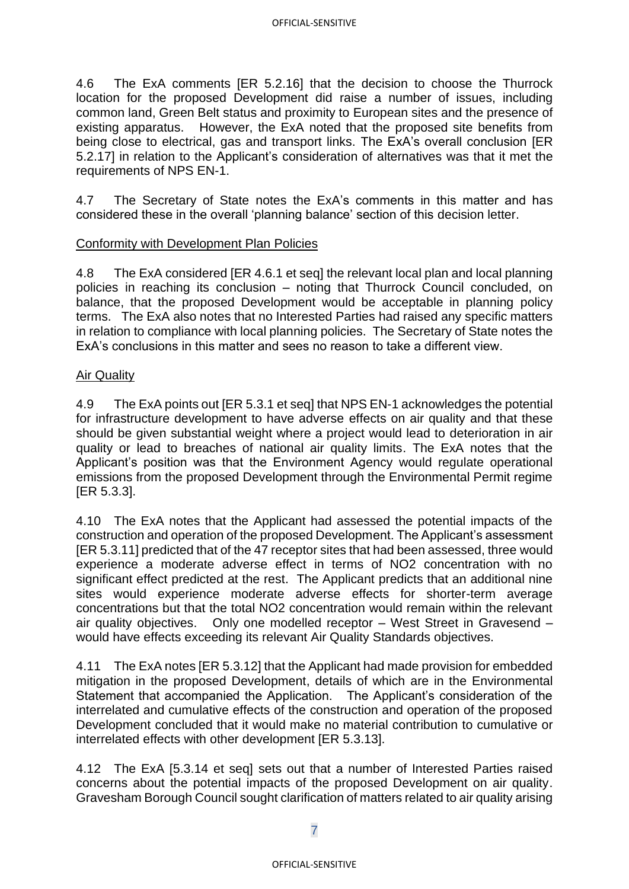4.6 The ExA comments [ER 5.2.16] that the decision to choose the Thurrock location for the proposed Development did raise a number of issues, including common land, Green Belt status and proximity to European sites and the presence of existing apparatus. However, the ExA noted that the proposed site benefits from being close to electrical, gas and transport links. The ExA's overall conclusion [ER 5.2.17] in relation to the Applicant's consideration of alternatives was that it met the requirements of NPS EN-1.

4.7 The Secretary of State notes the ExA's comments in this matter and has considered these in the overall 'planning balance' section of this decision letter.

## Conformity with Development Plan Policies

4.8 The ExA considered [ER 4.6.1 et seq] the relevant local plan and local planning policies in reaching its conclusion – noting that Thurrock Council concluded, on balance, that the proposed Development would be acceptable in planning policy terms. The ExA also notes that no Interested Parties had raised any specific matters in relation to compliance with local planning policies. The Secretary of State notes the ExA's conclusions in this matter and sees no reason to take a different view.

## Air Quality

4.9 The ExA points out [ER 5.3.1 et seq] that NPS EN-1 acknowledges the potential for infrastructure development to have adverse effects on air quality and that these should be given substantial weight where a project would lead to deterioration in air quality or lead to breaches of national air quality limits. The ExA notes that the Applicant's position was that the Environment Agency would regulate operational emissions from the proposed Development through the Environmental Permit regime [ER 5.3.3].

4.10 The ExA notes that the Applicant had assessed the potential impacts of the construction and operation of the proposed Development. The Applicant's assessment [ER 5.3.11] predicted that of the 47 receptor sites that had been assessed, three would experience a moderate adverse effect in terms of NO2 concentration with no significant effect predicted at the rest. The Applicant predicts that an additional nine sites would experience moderate adverse effects for shorter-term average concentrations but that the total NO2 concentration would remain within the relevant air quality objectives. Only one modelled receptor – West Street in Gravesend – would have effects exceeding its relevant Air Quality Standards objectives.

4.11 The ExA notes [ER 5.3.12] that the Applicant had made provision for embedded mitigation in the proposed Development, details of which are in the Environmental Statement that accompanied the Application. The Applicant's consideration of the interrelated and cumulative effects of the construction and operation of the proposed Development concluded that it would make no material contribution to cumulative or interrelated effects with other development [ER 5.3.13].

4.12 The ExA [5.3.14 et seq] sets out that a number of Interested Parties raised concerns about the potential impacts of the proposed Development on air quality. Gravesham Borough Council sought clarification of matters related to air quality arising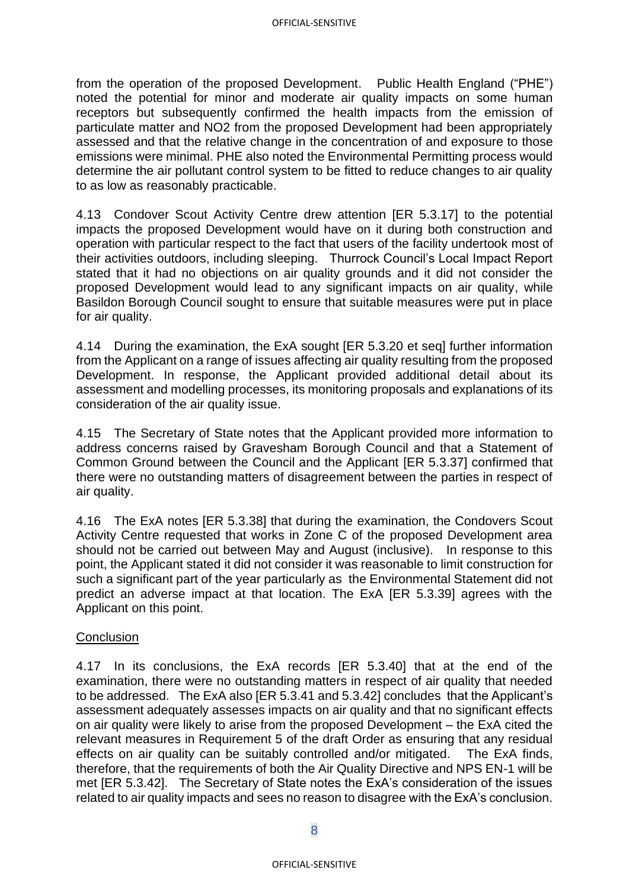from the operation of the proposed Development. Public Health England ("PHE") noted the potential for minor and moderate air quality impacts on some human receptors but subsequently confirmed the health impacts from the emission of particulate matter and NO2 from the proposed Development had been appropriately assessed and that the relative change in the concentration of and exposure to those emissions were minimal. PHE also noted the Environmental Permitting process would determine the air pollutant control system to be fitted to reduce changes to air quality to as low as reasonably practicable.

4.13 Condover Scout Activity Centre drew attention [ER 5.3.17] to the potential impacts the proposed Development would have on it during both construction and operation with particular respect to the fact that users of the facility undertook most of their activities outdoors, including sleeping. Thurrock Council's Local Impact Report stated that it had no objections on air quality grounds and it did not consider the proposed Development would lead to any significant impacts on air quality, while Basildon Borough Council sought to ensure that suitable measures were put in place for air quality.

4.14 During the examination, the ExA sought [ER 5.3.20 et seq] further information from the Applicant on a range of issues affecting air quality resulting from the proposed Development. In response, the Applicant provided additional detail about its assessment and modelling processes, its monitoring proposals and explanations of its consideration of the air quality issue.

4.15 The Secretary of State notes that the Applicant provided more information to address concerns raised by Gravesham Borough Council and that a Statement of Common Ground between the Council and the Applicant [ER 5.3.37] confirmed that there were no outstanding matters of disagreement between the parties in respect of air quality.

4.16 The ExA notes [ER 5.3.38] that during the examination, the Condovers Scout Activity Centre requested that works in Zone C of the proposed Development area should not be carried out between May and August (inclusive). In response to this point, the Applicant stated it did not consider it was reasonable to limit construction for such a significant part of the year particularly as the Environmental Statement did not predict an adverse impact at that location. The ExA [ER 5.3.39] agrees with the Applicant on this point.

### **Conclusion**

4.17 In its conclusions, the ExA records [ER 5.3.40] that at the end of the examination, there were no outstanding matters in respect of air quality that needed to be addressed. The ExA also [ER 5.3.41 and 5.3.42] concludes that the Applicant's assessment adequately assesses impacts on air quality and that no significant effects on air quality were likely to arise from the proposed Development – the ExA cited the relevant measures in Requirement 5 of the draft Order as ensuring that any residual effects on air quality can be suitably controlled and/or mitigated. The ExA finds, therefore, that the requirements of both the Air Quality Directive and NPS EN-1 will be met [ER 5.3.42]. The Secretary of State notes the ExA's consideration of the issues related to air quality impacts and sees no reason to disagree with the ExA's conclusion.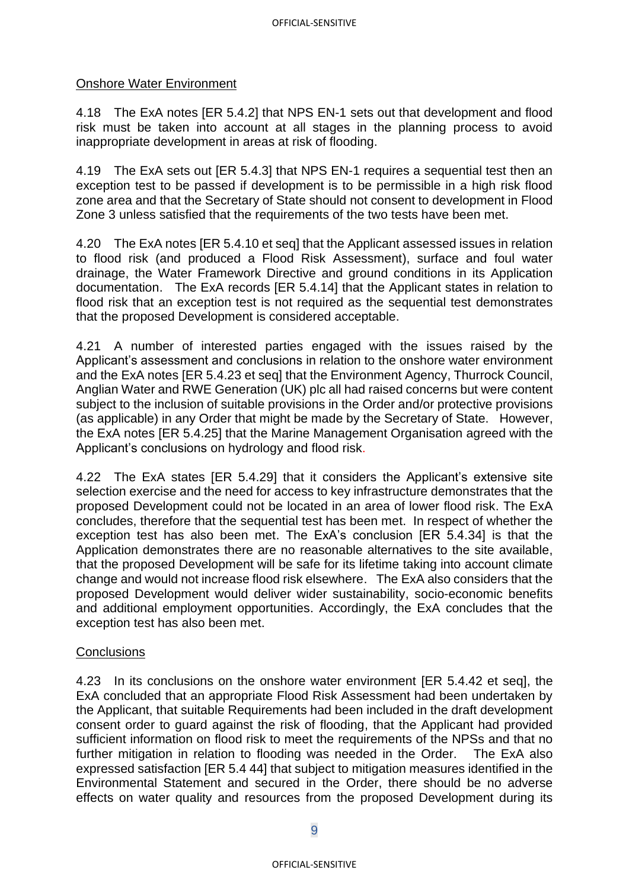### Onshore Water Environment

4.18 The ExA notes [ER 5.4.2] that NPS EN-1 sets out that development and flood risk must be taken into account at all stages in the planning process to avoid inappropriate development in areas at risk of flooding.

4.19 The ExA sets out [ER 5.4.3] that NPS EN-1 requires a sequential test then an exception test to be passed if development is to be permissible in a high risk flood zone area and that the Secretary of State should not consent to development in Flood Zone 3 unless satisfied that the requirements of the two tests have been met.

4.20 The ExA notes [ER 5.4.10 et seq] that the Applicant assessed issues in relation to flood risk (and produced a Flood Risk Assessment), surface and foul water drainage, the Water Framework Directive and ground conditions in its Application documentation. The ExA records [ER 5.4.14] that the Applicant states in relation to flood risk that an exception test is not required as the sequential test demonstrates that the proposed Development is considered acceptable.

4.21 A number of interested parties engaged with the issues raised by the Applicant's assessment and conclusions in relation to the onshore water environment and the ExA notes [ER 5.4.23 et seq] that the Environment Agency, Thurrock Council, Anglian Water and RWE Generation (UK) plc all had raised concerns but were content subject to the inclusion of suitable provisions in the Order and/or protective provisions (as applicable) in any Order that might be made by the Secretary of State. However, the ExA notes [ER 5.4.25] that the Marine Management Organisation agreed with the Applicant's conclusions on hydrology and flood risk.

4.22 The ExA states [ER 5.4.29] that it considers the Applicant's extensive site selection exercise and the need for access to key infrastructure demonstrates that the proposed Development could not be located in an area of lower flood risk. The ExA concludes, therefore that the sequential test has been met. In respect of whether the exception test has also been met. The ExA's conclusion [ER 5.4.34] is that the Application demonstrates there are no reasonable alternatives to the site available, that the proposed Development will be safe for its lifetime taking into account climate change and would not increase flood risk elsewhere. The ExA also considers that the proposed Development would deliver wider sustainability, socio-economic benefits and additional employment opportunities. Accordingly, the ExA concludes that the exception test has also been met.

### **Conclusions**

4.23 In its conclusions on the onshore water environment [ER 5.4.42 et seq], the ExA concluded that an appropriate Flood Risk Assessment had been undertaken by the Applicant, that suitable Requirements had been included in the draft development consent order to guard against the risk of flooding, that the Applicant had provided sufficient information on flood risk to meet the requirements of the NPSs and that no further mitigation in relation to flooding was needed in the Order. The ExA also expressed satisfaction [ER 5.4 44] that subject to mitigation measures identified in the Environmental Statement and secured in the Order, there should be no adverse effects on water quality and resources from the proposed Development during its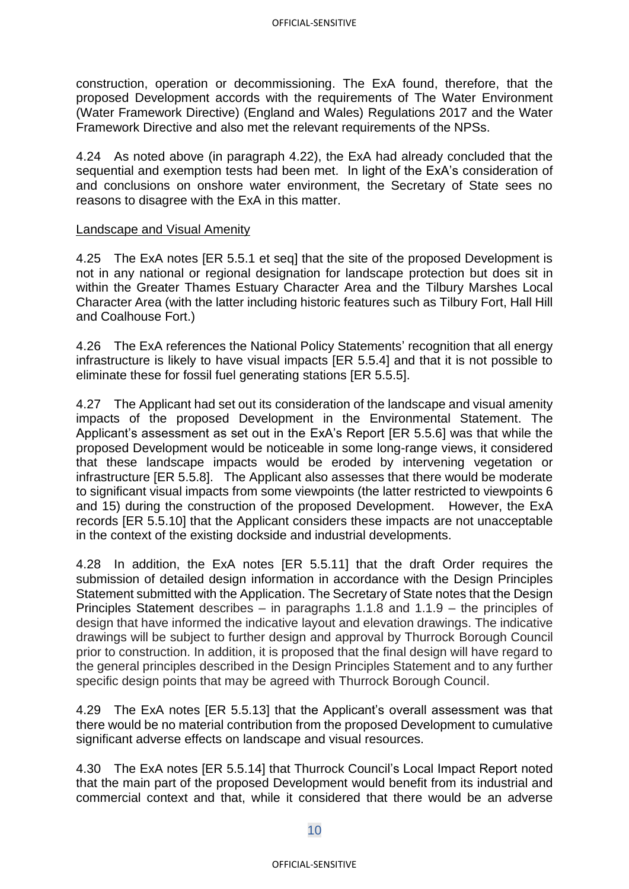construction, operation or decommissioning. The ExA found, therefore, that the proposed Development accords with the requirements of The Water Environment (Water Framework Directive) (England and Wales) Regulations 2017 and the Water Framework Directive and also met the relevant requirements of the NPSs.

4.24 As noted above (in paragraph 4.22), the ExA had already concluded that the sequential and exemption tests had been met. In light of the ExA's consideration of and conclusions on onshore water environment, the Secretary of State sees no reasons to disagree with the ExA in this matter.

### Landscape and Visual Amenity

4.25 The ExA notes [ER 5.5.1 et seq] that the site of the proposed Development is not in any national or regional designation for landscape protection but does sit in within the Greater Thames Estuary Character Area and the Tilbury Marshes Local Character Area (with the latter including historic features such as Tilbury Fort, Hall Hill and Coalhouse Fort.)

4.26 The ExA references the National Policy Statements' recognition that all energy infrastructure is likely to have visual impacts [ER 5.5.4] and that it is not possible to eliminate these for fossil fuel generating stations [ER 5.5.5].

4.27 The Applicant had set out its consideration of the landscape and visual amenity impacts of the proposed Development in the Environmental Statement. The Applicant's assessment as set out in the ExA's Report [ER 5.5.6] was that while the proposed Development would be noticeable in some long-range views, it considered that these landscape impacts would be eroded by intervening vegetation or infrastructure [ER 5.5.8]. The Applicant also assesses that there would be moderate to significant visual impacts from some viewpoints (the latter restricted to viewpoints 6 and 15) during the construction of the proposed Development. However, the ExA records [ER 5.5.10] that the Applicant considers these impacts are not unacceptable in the context of the existing dockside and industrial developments.

4.28 In addition, the ExA notes [ER 5.5.11] that the draft Order requires the submission of detailed design information in accordance with the Design Principles Statement submitted with the Application. The Secretary of State notes that the Design Principles Statement describes – in paragraphs 1.1.8 and 1.1.9 – the principles of design that have informed the indicative layout and elevation drawings. The indicative drawings will be subject to further design and approval by Thurrock Borough Council prior to construction. In addition, it is proposed that the final design will have regard to the general principles described in the Design Principles Statement and to any further specific design points that may be agreed with Thurrock Borough Council.

4.29 The ExA notes [ER 5.5.13] that the Applicant's overall assessment was that there would be no material contribution from the proposed Development to cumulative significant adverse effects on landscape and visual resources.

4.30 The ExA notes [ER 5.5.14] that Thurrock Council's Local Impact Report noted that the main part of the proposed Development would benefit from its industrial and commercial context and that, while it considered that there would be an adverse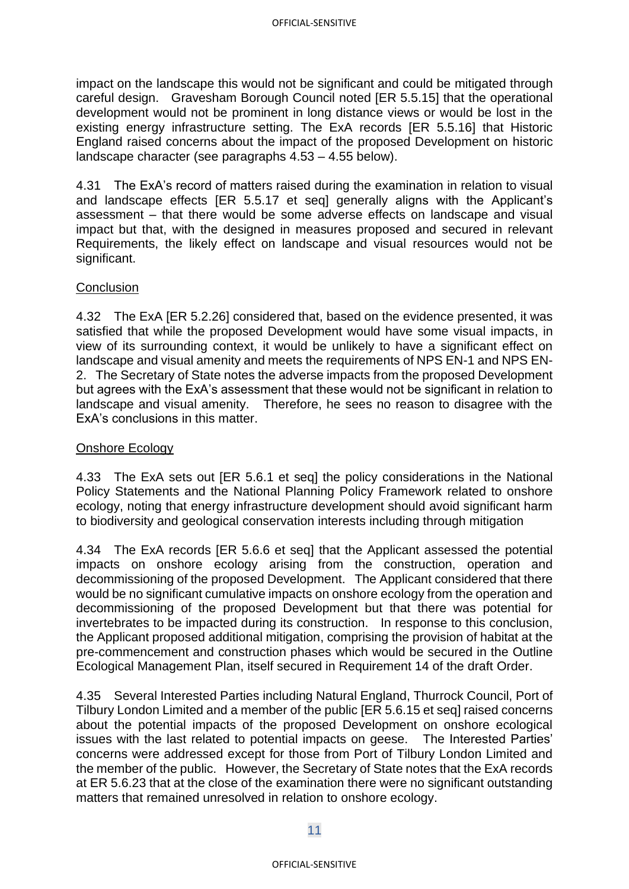impact on the landscape this would not be significant and could be mitigated through careful design. Gravesham Borough Council noted [ER 5.5.15] that the operational development would not be prominent in long distance views or would be lost in the existing energy infrastructure setting. The ExA records [ER 5.5.16] that Historic England raised concerns about the impact of the proposed Development on historic landscape character (see paragraphs 4.53 – 4.55 below).

4.31 The ExA's record of matters raised during the examination in relation to visual and landscape effects [ER 5.5.17 et seq] generally aligns with the Applicant's assessment – that there would be some adverse effects on landscape and visual impact but that, with the designed in measures proposed and secured in relevant Requirements, the likely effect on landscape and visual resources would not be significant.

### **Conclusion**

4.32 The ExA [ER 5.2.26] considered that, based on the evidence presented, it was satisfied that while the proposed Development would have some visual impacts, in view of its surrounding context, it would be unlikely to have a significant effect on landscape and visual amenity and meets the requirements of NPS EN-1 and NPS EN-2. The Secretary of State notes the adverse impacts from the proposed Development but agrees with the ExA's assessment that these would not be significant in relation to landscape and visual amenity. Therefore, he sees no reason to disagree with the ExA's conclusions in this matter.

### Onshore Ecology

4.33 The ExA sets out [ER 5.6.1 et seq] the policy considerations in the National Policy Statements and the National Planning Policy Framework related to onshore ecology, noting that energy infrastructure development should avoid significant harm to biodiversity and geological conservation interests including through mitigation

4.34 The ExA records [ER 5.6.6 et seq] that the Applicant assessed the potential impacts on onshore ecology arising from the construction, operation and decommissioning of the proposed Development. The Applicant considered that there would be no significant cumulative impacts on onshore ecology from the operation and decommissioning of the proposed Development but that there was potential for invertebrates to be impacted during its construction. In response to this conclusion, the Applicant proposed additional mitigation, comprising the provision of habitat at the pre-commencement and construction phases which would be secured in the Outline Ecological Management Plan, itself secured in Requirement 14 of the draft Order.

4.35 Several Interested Parties including Natural England, Thurrock Council, Port of Tilbury London Limited and a member of the public [ER 5.6.15 et seq] raised concerns about the potential impacts of the proposed Development on onshore ecological issues with the last related to potential impacts on geese. The Interested Parties' concerns were addressed except for those from Port of Tilbury London Limited and the member of the public. However, the Secretary of State notes that the ExA records at ER 5.6.23 that at the close of the examination there were no significant outstanding matters that remained unresolved in relation to onshore ecology.

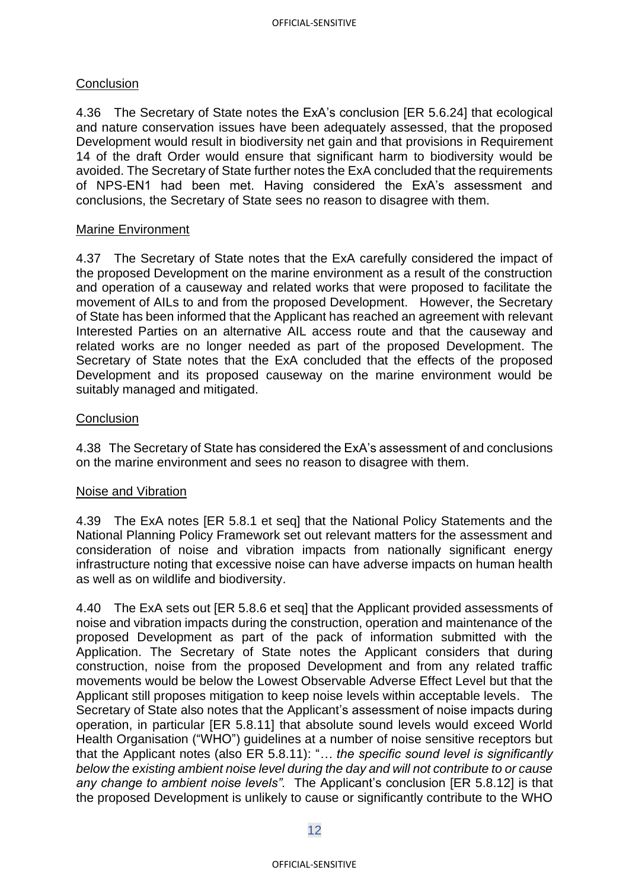### **Conclusion**

4.36 The Secretary of State notes the ExA's conclusion [ER 5.6.24] that ecological and nature conservation issues have been adequately assessed, that the proposed Development would result in biodiversity net gain and that provisions in Requirement 14 of the draft Order would ensure that significant harm to biodiversity would be avoided. The Secretary of State further notes the ExA concluded that the requirements of NPS-EN1 had been met. Having considered the ExA's assessment and conclusions, the Secretary of State sees no reason to disagree with them.

### Marine Environment

4.37 The Secretary of State notes that the ExA carefully considered the impact of the proposed Development on the marine environment as a result of the construction and operation of a causeway and related works that were proposed to facilitate the movement of AILs to and from the proposed Development. However, the Secretary of State has been informed that the Applicant has reached an agreement with relevant Interested Parties on an alternative AIL access route and that the causeway and related works are no longer needed as part of the proposed Development. The Secretary of State notes that the ExA concluded that the effects of the proposed Development and its proposed causeway on the marine environment would be suitably managed and mitigated.

### **Conclusion**

4.38 The Secretary of State has considered the ExA's assessment of and conclusions on the marine environment and sees no reason to disagree with them.

#### Noise and Vibration

4.39 The ExA notes [ER 5.8.1 et seq] that the National Policy Statements and the National Planning Policy Framework set out relevant matters for the assessment and consideration of noise and vibration impacts from nationally significant energy infrastructure noting that excessive noise can have adverse impacts on human health as well as on wildlife and biodiversity.

4.40 The ExA sets out [ER 5.8.6 et seq] that the Applicant provided assessments of noise and vibration impacts during the construction, operation and maintenance of the proposed Development as part of the pack of information submitted with the Application. The Secretary of State notes the Applicant considers that during construction, noise from the proposed Development and from any related traffic movements would be below the Lowest Observable Adverse Effect Level but that the Applicant still proposes mitigation to keep noise levels within acceptable levels. The Secretary of State also notes that the Applicant's assessment of noise impacts during operation, in particular [ER 5.8.11] that absolute sound levels would exceed World Health Organisation ("WHO") guidelines at a number of noise sensitive receptors but that the Applicant notes (also ER 5.8.11): "*… the specific sound level is significantly below the existing ambient noise level during the day and will not contribute to or cause any change to ambient noise levels".* The Applicant's conclusion [ER 5.8.12] is that the proposed Development is unlikely to cause or significantly contribute to the WHO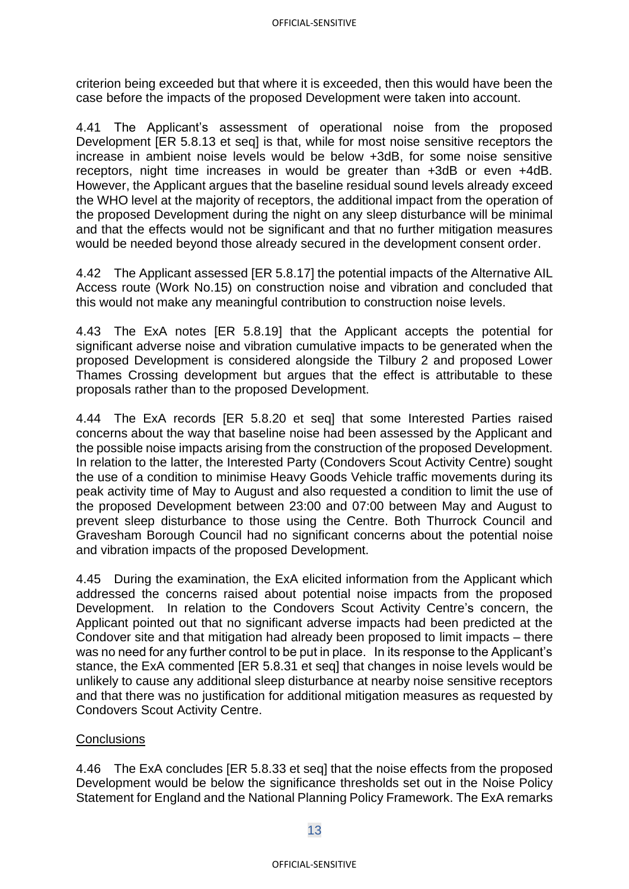criterion being exceeded but that where it is exceeded, then this would have been the case before the impacts of the proposed Development were taken into account.

4.41 The Applicant's assessment of operational noise from the proposed Development [ER 5.8.13 et seq] is that, while for most noise sensitive receptors the increase in ambient noise levels would be below +3dB, for some noise sensitive receptors, night time increases in would be greater than +3dB or even +4dB. However, the Applicant argues that the baseline residual sound levels already exceed the WHO level at the majority of receptors, the additional impact from the operation of the proposed Development during the night on any sleep disturbance will be minimal and that the effects would not be significant and that no further mitigation measures would be needed beyond those already secured in the development consent order.

4.42 The Applicant assessed [ER 5.8.17] the potential impacts of the Alternative AIL Access route (Work No.15) on construction noise and vibration and concluded that this would not make any meaningful contribution to construction noise levels.

4.43 The ExA notes [ER 5.8.19] that the Applicant accepts the potential for significant adverse noise and vibration cumulative impacts to be generated when the proposed Development is considered alongside the Tilbury 2 and proposed Lower Thames Crossing development but argues that the effect is attributable to these proposals rather than to the proposed Development.

4.44 The ExA records [ER 5.8.20 et seq] that some Interested Parties raised concerns about the way that baseline noise had been assessed by the Applicant and the possible noise impacts arising from the construction of the proposed Development. In relation to the latter, the Interested Party (Condovers Scout Activity Centre) sought the use of a condition to minimise Heavy Goods Vehicle traffic movements during its peak activity time of May to August and also requested a condition to limit the use of the proposed Development between 23:00 and 07:00 between May and August to prevent sleep disturbance to those using the Centre. Both Thurrock Council and Gravesham Borough Council had no significant concerns about the potential noise and vibration impacts of the proposed Development.

4.45 During the examination, the ExA elicited information from the Applicant which addressed the concerns raised about potential noise impacts from the proposed Development. In relation to the Condovers Scout Activity Centre's concern, the Applicant pointed out that no significant adverse impacts had been predicted at the Condover site and that mitigation had already been proposed to limit impacts – there was no need for any further control to be put in place. In its response to the Applicant's stance, the ExA commented [ER 5.8.31 et seq] that changes in noise levels would be unlikely to cause any additional sleep disturbance at nearby noise sensitive receptors and that there was no justification for additional mitigation measures as requested by Condovers Scout Activity Centre.

### **Conclusions**

4.46 The ExA concludes [ER 5.8.33 et seq] that the noise effects from the proposed Development would be below the significance thresholds set out in the Noise Policy Statement for England and the National Planning Policy Framework. The ExA remarks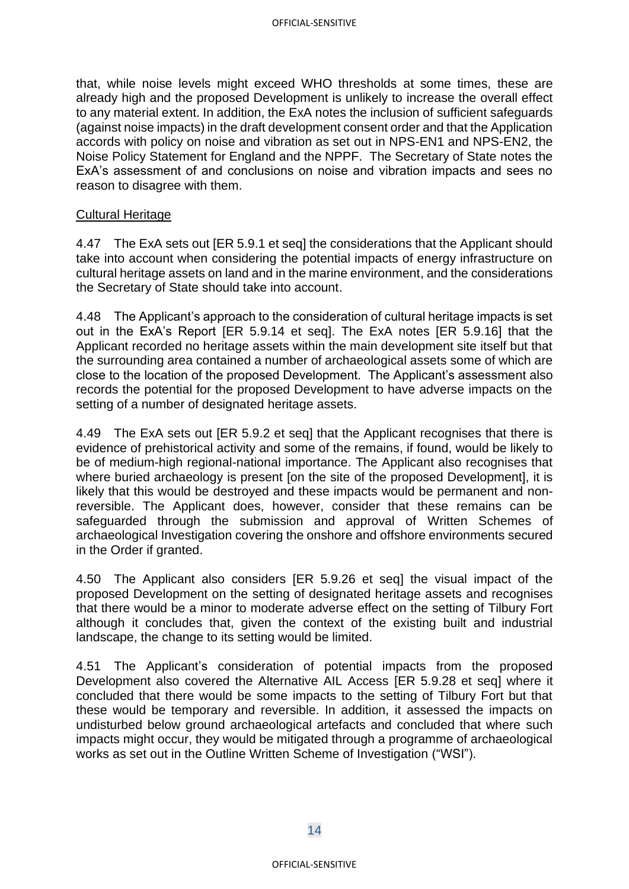that, while noise levels might exceed WHO thresholds at some times, these are already high and the proposed Development is unlikely to increase the overall effect to any material extent. In addition, the ExA notes the inclusion of sufficient safeguards (against noise impacts) in the draft development consent order and that the Application accords with policy on noise and vibration as set out in NPS-EN1 and NPS-EN2, the Noise Policy Statement for England and the NPPF. The Secretary of State notes the ExA's assessment of and conclusions on noise and vibration impacts and sees no reason to disagree with them.

### Cultural Heritage

4.47 The ExA sets out [ER 5.9.1 et seq] the considerations that the Applicant should take into account when considering the potential impacts of energy infrastructure on cultural heritage assets on land and in the marine environment, and the considerations the Secretary of State should take into account.

4.48 The Applicant's approach to the consideration of cultural heritage impacts is set out in the ExA's Report [ER 5.9.14 et seq]. The ExA notes [ER 5.9.16] that the Applicant recorded no heritage assets within the main development site itself but that the surrounding area contained a number of archaeological assets some of which are close to the location of the proposed Development. The Applicant's assessment also records the potential for the proposed Development to have adverse impacts on the setting of a number of designated heritage assets.

4.49 The ExA sets out [ER 5.9.2 et seq] that the Applicant recognises that there is evidence of prehistorical activity and some of the remains, if found, would be likely to be of medium-high regional-national importance. The Applicant also recognises that where buried archaeology is present [on the site of the proposed Development], it is likely that this would be destroyed and these impacts would be permanent and nonreversible. The Applicant does, however, consider that these remains can be safeguarded through the submission and approval of Written Schemes of archaeological Investigation covering the onshore and offshore environments secured in the Order if granted.

4.50 The Applicant also considers [ER 5.9.26 et seq] the visual impact of the proposed Development on the setting of designated heritage assets and recognises that there would be a minor to moderate adverse effect on the setting of Tilbury Fort although it concludes that, given the context of the existing built and industrial landscape, the change to its setting would be limited.

4.51 The Applicant's consideration of potential impacts from the proposed Development also covered the Alternative AIL Access [ER 5.9.28 et seq] where it concluded that there would be some impacts to the setting of Tilbury Fort but that these would be temporary and reversible. In addition, it assessed the impacts on undisturbed below ground archaeological artefacts and concluded that where such impacts might occur, they would be mitigated through a programme of archaeological works as set out in the Outline Written Scheme of Investigation ("WSI").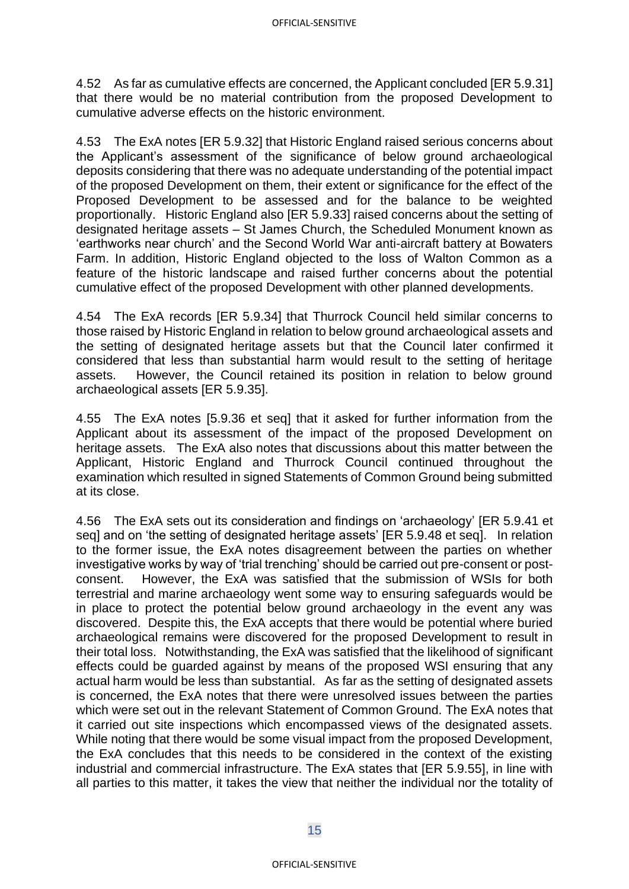4.52 As far as cumulative effects are concerned, the Applicant concluded [ER 5.9.31] that there would be no material contribution from the proposed Development to cumulative adverse effects on the historic environment.

4.53 The ExA notes [ER 5.9.32] that Historic England raised serious concerns about the Applicant's assessment of the significance of below ground archaeological deposits considering that there was no adequate understanding of the potential impact of the proposed Development on them, their extent or significance for the effect of the Proposed Development to be assessed and for the balance to be weighted proportionally. Historic England also [ER 5.9.33] raised concerns about the setting of designated heritage assets – St James Church, the Scheduled Monument known as 'earthworks near church' and the Second World War anti-aircraft battery at Bowaters Farm. In addition, Historic England objected to the loss of Walton Common as a feature of the historic landscape and raised further concerns about the potential cumulative effect of the proposed Development with other planned developments.

4.54 The ExA records [ER 5.9.34] that Thurrock Council held similar concerns to those raised by Historic England in relation to below ground archaeological assets and the setting of designated heritage assets but that the Council later confirmed it considered that less than substantial harm would result to the setting of heritage assets. However, the Council retained its position in relation to below ground archaeological assets [ER 5.9.35].

4.55 The ExA notes [5.9.36 et seq] that it asked for further information from the Applicant about its assessment of the impact of the proposed Development on heritage assets. The ExA also notes that discussions about this matter between the Applicant, Historic England and Thurrock Council continued throughout the examination which resulted in signed Statements of Common Ground being submitted at its close.

4.56 The ExA sets out its consideration and findings on 'archaeology' [ER 5.9.41 et seq] and on 'the setting of designated heritage assets' [ER 5.9.48 et seq]. In relation to the former issue, the ExA notes disagreement between the parties on whether investigative works by way of 'trial trenching' should be carried out pre-consent or postconsent. However, the ExA was satisfied that the submission of WSIs for both terrestrial and marine archaeology went some way to ensuring safeguards would be in place to protect the potential below ground archaeology in the event any was discovered. Despite this, the ExA accepts that there would be potential where buried archaeological remains were discovered for the proposed Development to result in their total loss. Notwithstanding, the ExA was satisfied that the likelihood of significant effects could be guarded against by means of the proposed WSI ensuring that any actual harm would be less than substantial. As far as the setting of designated assets is concerned, the ExA notes that there were unresolved issues between the parties which were set out in the relevant Statement of Common Ground. The ExA notes that it carried out site inspections which encompassed views of the designated assets. While noting that there would be some visual impact from the proposed Development, the ExA concludes that this needs to be considered in the context of the existing industrial and commercial infrastructure. The ExA states that [ER 5.9.55], in line with all parties to this matter, it takes the view that neither the individual nor the totality of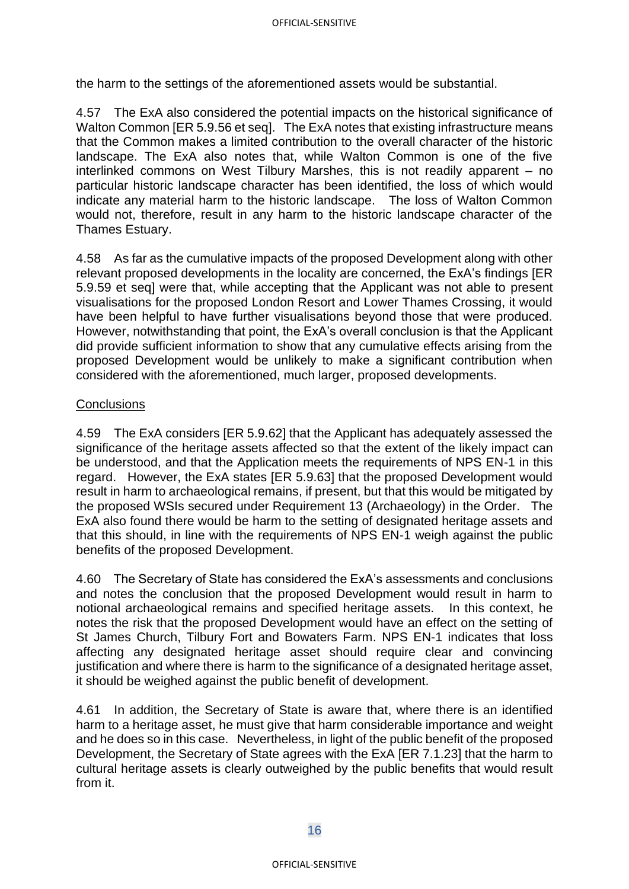the harm to the settings of the aforementioned assets would be substantial.

4.57 The ExA also considered the potential impacts on the historical significance of Walton Common [ER 5.9.56 et seq]. The ExA notes that existing infrastructure means that the Common makes a limited contribution to the overall character of the historic landscape. The ExA also notes that, while Walton Common is one of the five interlinked commons on West Tilbury Marshes, this is not readily apparent – no particular historic landscape character has been identified, the loss of which would indicate any material harm to the historic landscape. The loss of Walton Common would not, therefore, result in any harm to the historic landscape character of the Thames Estuary.

4.58 As far as the cumulative impacts of the proposed Development along with other relevant proposed developments in the locality are concerned, the ExA's findings [ER 5.9.59 et seq] were that, while accepting that the Applicant was not able to present visualisations for the proposed London Resort and Lower Thames Crossing, it would have been helpful to have further visualisations beyond those that were produced. However, notwithstanding that point, the ExA's overall conclusion is that the Applicant did provide sufficient information to show that any cumulative effects arising from the proposed Development would be unlikely to make a significant contribution when considered with the aforementioned, much larger, proposed developments.

### **Conclusions**

4.59 The ExA considers [ER 5.9.62] that the Applicant has adequately assessed the significance of the heritage assets affected so that the extent of the likely impact can be understood, and that the Application meets the requirements of NPS EN-1 in this regard. However, the ExA states [ER 5.9.63] that the proposed Development would result in harm to archaeological remains, if present, but that this would be mitigated by the proposed WSIs secured under Requirement 13 (Archaeology) in the Order. The ExA also found there would be harm to the setting of designated heritage assets and that this should, in line with the requirements of NPS EN-1 weigh against the public benefits of the proposed Development.

4.60 The Secretary of State has considered the ExA's assessments and conclusions and notes the conclusion that the proposed Development would result in harm to notional archaeological remains and specified heritage assets. In this context, he notes the risk that the proposed Development would have an effect on the setting of St James Church, Tilbury Fort and Bowaters Farm. NPS EN-1 indicates that loss affecting any designated heritage asset should require clear and convincing justification and where there is harm to the significance of a designated heritage asset. it should be weighed against the public benefit of development.

4.61 In addition, the Secretary of State is aware that, where there is an identified harm to a heritage asset, he must give that harm considerable importance and weight and he does so in this case. Nevertheless, in light of the public benefit of the proposed Development, the Secretary of State agrees with the ExA [ER 7.1.23] that the harm to cultural heritage assets is clearly outweighed by the public benefits that would result from it.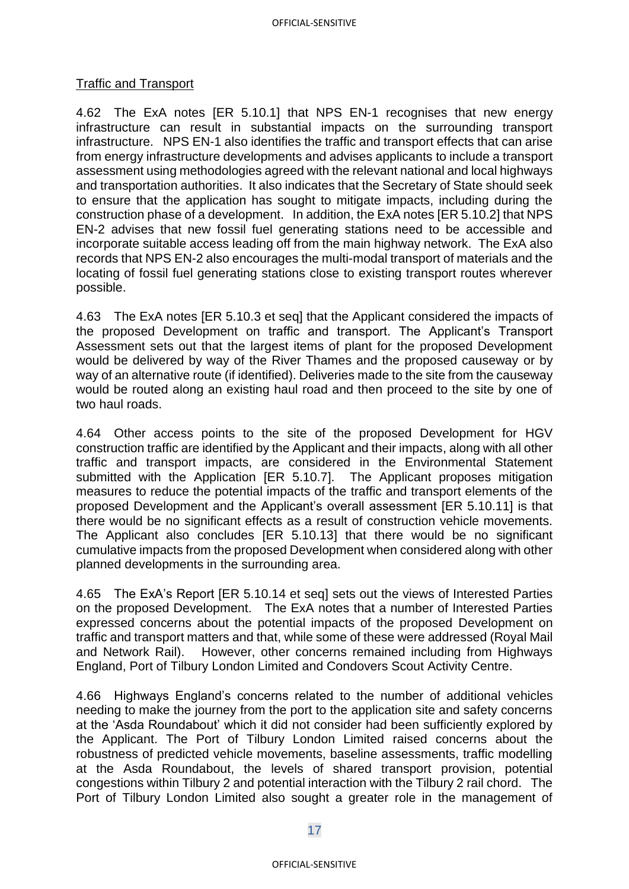#### OFFICIAL-SENSITIVE

#### Traffic and Transport

4.62 The ExA notes [ER 5.10.1] that NPS EN-1 recognises that new energy infrastructure can result in substantial impacts on the surrounding transport infrastructure. NPS EN-1 also identifies the traffic and transport effects that can arise from energy infrastructure developments and advises applicants to include a transport assessment using methodologies agreed with the relevant national and local highways and transportation authorities. It also indicates that the Secretary of State should seek to ensure that the application has sought to mitigate impacts, including during the construction phase of a development. In addition, the ExA notes [ER 5.10.2] that NPS EN-2 advises that new fossil fuel generating stations need to be accessible and incorporate suitable access leading off from the main highway network. The ExA also records that NPS EN-2 also encourages the multi-modal transport of materials and the locating of fossil fuel generating stations close to existing transport routes wherever possible.

4.63 The ExA notes [ER 5.10.3 et seq] that the Applicant considered the impacts of the proposed Development on traffic and transport. The Applicant's Transport Assessment sets out that the largest items of plant for the proposed Development would be delivered by way of the River Thames and the proposed causeway or by way of an alternative route (if identified). Deliveries made to the site from the causeway would be routed along an existing haul road and then proceed to the site by one of two haul roads.

4.64 Other access points to the site of the proposed Development for HGV construction traffic are identified by the Applicant and their impacts, along with all other traffic and transport impacts, are considered in the Environmental Statement submitted with the Application [ER 5.10.7]. The Applicant proposes mitigation measures to reduce the potential impacts of the traffic and transport elements of the proposed Development and the Applicant's overall assessment [ER 5.10.11] is that there would be no significant effects as a result of construction vehicle movements. The Applicant also concludes [ER 5.10.13] that there would be no significant cumulative impacts from the proposed Development when considered along with other planned developments in the surrounding area.

4.65 The ExA's Report [ER 5.10.14 et seq] sets out the views of Interested Parties on the proposed Development. The ExA notes that a number of Interested Parties expressed concerns about the potential impacts of the proposed Development on traffic and transport matters and that, while some of these were addressed (Royal Mail and Network Rail). However, other concerns remained including from Highways England, Port of Tilbury London Limited and Condovers Scout Activity Centre.

4.66 Highways England's concerns related to the number of additional vehicles needing to make the journey from the port to the application site and safety concerns at the 'Asda Roundabout' which it did not consider had been sufficiently explored by the Applicant. The Port of Tilbury London Limited raised concerns about the robustness of predicted vehicle movements, baseline assessments, traffic modelling at the Asda Roundabout, the levels of shared transport provision, potential congestions within Tilbury 2 and potential interaction with the Tilbury 2 rail chord. The Port of Tilbury London Limited also sought a greater role in the management of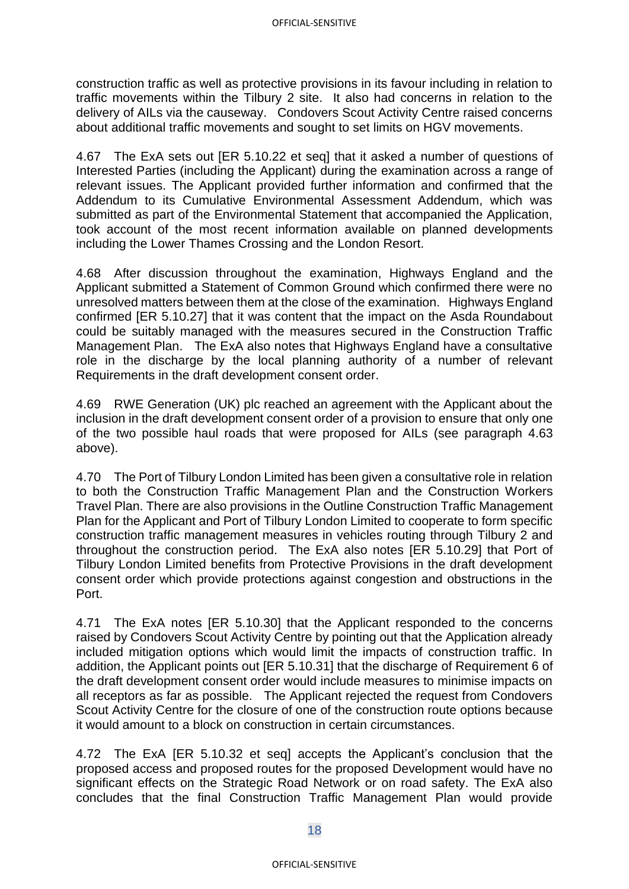construction traffic as well as protective provisions in its favour including in relation to traffic movements within the Tilbury 2 site. It also had concerns in relation to the delivery of AILs via the causeway. Condovers Scout Activity Centre raised concerns about additional traffic movements and sought to set limits on HGV movements.

4.67 The ExA sets out [ER 5.10.22 et seq] that it asked a number of questions of Interested Parties (including the Applicant) during the examination across a range of relevant issues. The Applicant provided further information and confirmed that the Addendum to its Cumulative Environmental Assessment Addendum, which was submitted as part of the Environmental Statement that accompanied the Application, took account of the most recent information available on planned developments including the Lower Thames Crossing and the London Resort.

4.68 After discussion throughout the examination, Highways England and the Applicant submitted a Statement of Common Ground which confirmed there were no unresolved matters between them at the close of the examination. Highways England confirmed [ER 5.10.27] that it was content that the impact on the Asda Roundabout could be suitably managed with the measures secured in the Construction Traffic Management Plan. The ExA also notes that Highways England have a consultative role in the discharge by the local planning authority of a number of relevant Requirements in the draft development consent order.

4.69 RWE Generation (UK) plc reached an agreement with the Applicant about the inclusion in the draft development consent order of a provision to ensure that only one of the two possible haul roads that were proposed for AILs (see paragraph 4.63 above).

4.70 The Port of Tilbury London Limited has been given a consultative role in relation to both the Construction Traffic Management Plan and the Construction Workers Travel Plan. There are also provisions in the Outline Construction Traffic Management Plan for the Applicant and Port of Tilbury London Limited to cooperate to form specific construction traffic management measures in vehicles routing through Tilbury 2 and throughout the construction period. The ExA also notes [ER 5.10.29] that Port of Tilbury London Limited benefits from Protective Provisions in the draft development consent order which provide protections against congestion and obstructions in the Port.

4.71 The ExA notes [ER 5.10.30] that the Applicant responded to the concerns raised by Condovers Scout Activity Centre by pointing out that the Application already included mitigation options which would limit the impacts of construction traffic. In addition, the Applicant points out [ER 5.10.31] that the discharge of Requirement 6 of the draft development consent order would include measures to minimise impacts on all receptors as far as possible. The Applicant rejected the request from Condovers Scout Activity Centre for the closure of one of the construction route options because it would amount to a block on construction in certain circumstances.

4.72 The ExA [ER 5.10.32 et seq] accepts the Applicant's conclusion that the proposed access and proposed routes for the proposed Development would have no significant effects on the Strategic Road Network or on road safety. The ExA also concludes that the final Construction Traffic Management Plan would provide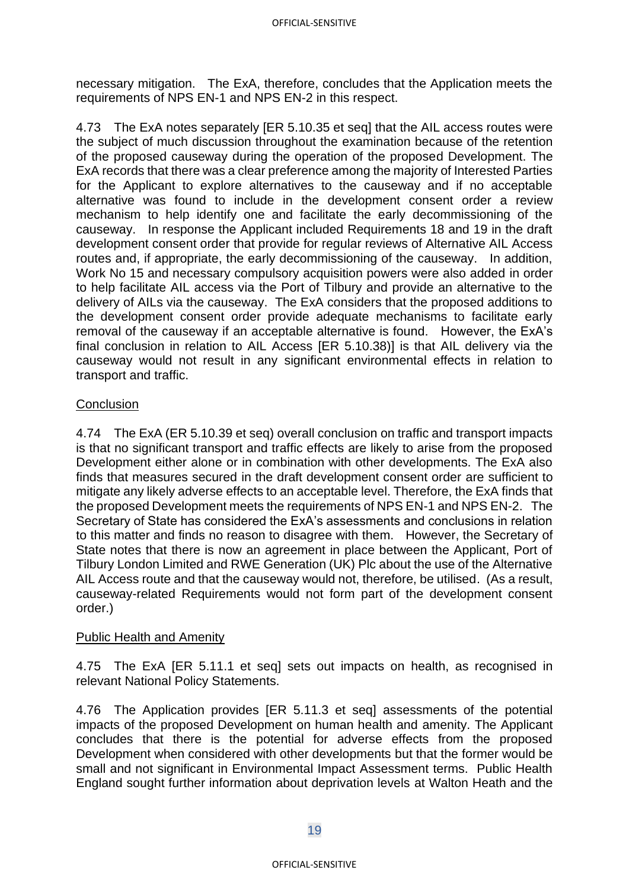necessary mitigation. The ExA, therefore, concludes that the Application meets the requirements of NPS EN-1 and NPS EN-2 in this respect.

4.73 The ExA notes separately [ER 5.10.35 et seq] that the AIL access routes were the subject of much discussion throughout the examination because of the retention of the proposed causeway during the operation of the proposed Development. The ExA records that there was a clear preference among the majority of Interested Parties for the Applicant to explore alternatives to the causeway and if no acceptable alternative was found to include in the development consent order a review mechanism to help identify one and facilitate the early decommissioning of the causeway. In response the Applicant included Requirements 18 and 19 in the draft development consent order that provide for regular reviews of Alternative AIL Access routes and, if appropriate, the early decommissioning of the causeway. In addition, Work No 15 and necessary compulsory acquisition powers were also added in order to help facilitate AIL access via the Port of Tilbury and provide an alternative to the delivery of AILs via the causeway. The ExA considers that the proposed additions to the development consent order provide adequate mechanisms to facilitate early removal of the causeway if an acceptable alternative is found. However, the ExA's final conclusion in relation to AIL Access [ER 5.10.38)] is that AIL delivery via the causeway would not result in any significant environmental effects in relation to transport and traffic.

## **Conclusion**

4.74 The ExA (ER 5.10.39 et seq) overall conclusion on traffic and transport impacts is that no significant transport and traffic effects are likely to arise from the proposed Development either alone or in combination with other developments. The ExA also finds that measures secured in the draft development consent order are sufficient to mitigate any likely adverse effects to an acceptable level. Therefore, the ExA finds that the proposed Development meets the requirements of NPS EN-1 and NPS EN-2. The Secretary of State has considered the ExA's assessments and conclusions in relation to this matter and finds no reason to disagree with them. However, the Secretary of State notes that there is now an agreement in place between the Applicant, Port of Tilbury London Limited and RWE Generation (UK) Plc about the use of the Alternative AIL Access route and that the causeway would not, therefore, be utilised. (As a result, causeway-related Requirements would not form part of the development consent order.)

### **Public Health and Amenity**

4.75 The ExA [ER 5.11.1 et seq] sets out impacts on health, as recognised in relevant National Policy Statements.

4.76 The Application provides [ER 5.11.3 et seq] assessments of the potential impacts of the proposed Development on human health and amenity. The Applicant concludes that there is the potential for adverse effects from the proposed Development when considered with other developments but that the former would be small and not significant in Environmental Impact Assessment terms. Public Health England sought further information about deprivation levels at Walton Heath and the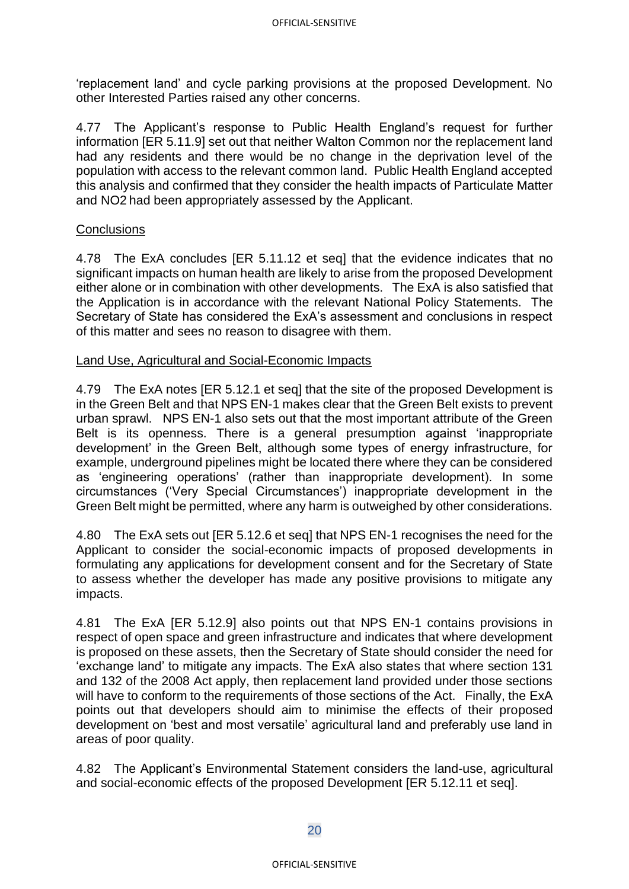'replacement land' and cycle parking provisions at the proposed Development. No other Interested Parties raised any other concerns.

4.77 The Applicant's response to Public Health England's request for further information [ER 5.11.9] set out that neither Walton Common nor the replacement land had any residents and there would be no change in the deprivation level of the population with access to the relevant common land. Public Health England accepted this analysis and confirmed that they consider the health impacts of Particulate Matter and NO2 had been appropriately assessed by the Applicant.

### **Conclusions**

4.78 The ExA concludes [ER 5.11.12 et seq] that the evidence indicates that no significant impacts on human health are likely to arise from the proposed Development either alone or in combination with other developments. The ExA is also satisfied that the Application is in accordance with the relevant National Policy Statements. The Secretary of State has considered the ExA's assessment and conclusions in respect of this matter and sees no reason to disagree with them.

### Land Use, Agricultural and Social-Economic Impacts

4.79 The ExA notes [ER 5.12.1 et seq] that the site of the proposed Development is in the Green Belt and that NPS EN-1 makes clear that the Green Belt exists to prevent urban sprawl. NPS EN-1 also sets out that the most important attribute of the Green Belt is its openness. There is a general presumption against 'inappropriate development' in the Green Belt, although some types of energy infrastructure, for example, underground pipelines might be located there where they can be considered as 'engineering operations' (rather than inappropriate development). In some circumstances ('Very Special Circumstances') inappropriate development in the Green Belt might be permitted, where any harm is outweighed by other considerations.

4.80 The ExA sets out [ER 5.12.6 et seq] that NPS EN-1 recognises the need for the Applicant to consider the social-economic impacts of proposed developments in formulating any applications for development consent and for the Secretary of State to assess whether the developer has made any positive provisions to mitigate any impacts.

4.81 The ExA [ER 5.12.9] also points out that NPS EN-1 contains provisions in respect of open space and green infrastructure and indicates that where development is proposed on these assets, then the Secretary of State should consider the need for 'exchange land' to mitigate any impacts. The ExA also states that where section 131 and 132 of the 2008 Act apply, then replacement land provided under those sections will have to conform to the requirements of those sections of the Act. Finally, the ExA points out that developers should aim to minimise the effects of their proposed development on 'best and most versatile' agricultural land and preferably use land in areas of poor quality.

4.82 The Applicant's Environmental Statement considers the land-use, agricultural and social-economic effects of the proposed Development [ER 5.12.11 et seq].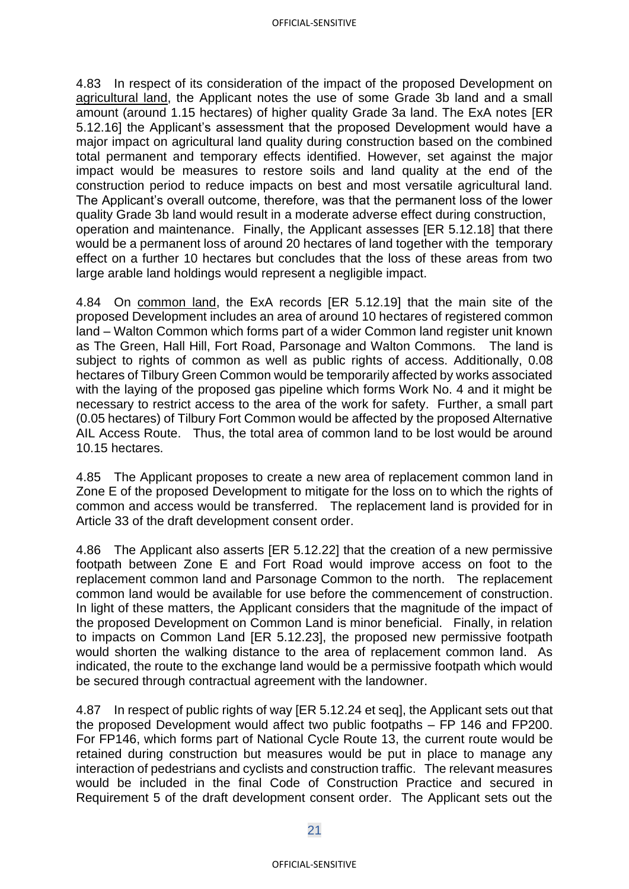4.83 In respect of its consideration of the impact of the proposed Development on agricultural land, the Applicant notes the use of some Grade 3b land and a small amount (around 1.15 hectares) of higher quality Grade 3a land. The ExA notes [ER 5.12.16] the Applicant's assessment that the proposed Development would have a major impact on agricultural land quality during construction based on the combined total permanent and temporary effects identified. However, set against the major impact would be measures to restore soils and land quality at the end of the construction period to reduce impacts on best and most versatile agricultural land. The Applicant's overall outcome, therefore, was that the permanent loss of the lower quality Grade 3b land would result in a moderate adverse effect during construction, operation and maintenance. Finally, the Applicant assesses [ER 5.12.18] that there would be a permanent loss of around 20 hectares of land together with the temporary effect on a further 10 hectares but concludes that the loss of these areas from two large arable land holdings would represent a negligible impact.

4.84 On common land, the ExA records [ER 5.12.19] that the main site of the proposed Development includes an area of around 10 hectares of registered common land – Walton Common which forms part of a wider Common land register unit known as The Green, Hall Hill, Fort Road, Parsonage and Walton Commons. The land is subject to rights of common as well as public rights of access. Additionally, 0.08 hectares of Tilbury Green Common would be temporarily affected by works associated with the laying of the proposed gas pipeline which forms Work No. 4 and it might be necessary to restrict access to the area of the work for safety. Further, a small part (0.05 hectares) of Tilbury Fort Common would be affected by the proposed Alternative AIL Access Route. Thus, the total area of common land to be lost would be around 10.15 hectares.

4.85 The Applicant proposes to create a new area of replacement common land in Zone E of the proposed Development to mitigate for the loss on to which the rights of common and access would be transferred. The replacement land is provided for in Article 33 of the draft development consent order.

4.86 The Applicant also asserts [ER 5.12.22] that the creation of a new permissive footpath between Zone E and Fort Road would improve access on foot to the replacement common land and Parsonage Common to the north. The replacement common land would be available for use before the commencement of construction. In light of these matters, the Applicant considers that the magnitude of the impact of the proposed Development on Common Land is minor beneficial. Finally, in relation to impacts on Common Land [ER 5.12.23], the proposed new permissive footpath would shorten the walking distance to the area of replacement common land. As indicated, the route to the exchange land would be a permissive footpath which would be secured through contractual agreement with the landowner.

4.87 In respect of public rights of way [ER 5.12.24 et seq], the Applicant sets out that the proposed Development would affect two public footpaths – FP 146 and FP200. For FP146, which forms part of National Cycle Route 13, the current route would be retained during construction but measures would be put in place to manage any interaction of pedestrians and cyclists and construction traffic. The relevant measures would be included in the final Code of Construction Practice and secured in Requirement 5 of the draft development consent order. The Applicant sets out the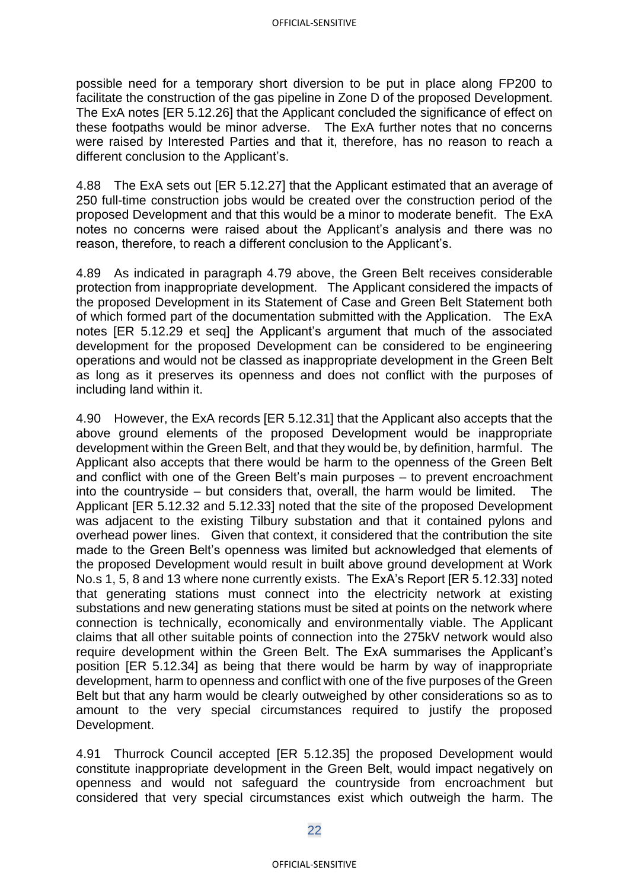possible need for a temporary short diversion to be put in place along FP200 to facilitate the construction of the gas pipeline in Zone D of the proposed Development. The ExA notes [ER 5.12.26] that the Applicant concluded the significance of effect on these footpaths would be minor adverse. The ExA further notes that no concerns were raised by Interested Parties and that it, therefore, has no reason to reach a different conclusion to the Applicant's.

4.88 The ExA sets out [ER 5.12.27] that the Applicant estimated that an average of 250 full-time construction jobs would be created over the construction period of the proposed Development and that this would be a minor to moderate benefit. The ExA notes no concerns were raised about the Applicant's analysis and there was no reason, therefore, to reach a different conclusion to the Applicant's.

4.89 As indicated in paragraph 4.79 above, the Green Belt receives considerable protection from inappropriate development. The Applicant considered the impacts of the proposed Development in its Statement of Case and Green Belt Statement both of which formed part of the documentation submitted with the Application. The ExA notes [ER 5.12.29 et seq] the Applicant's argument that much of the associated development for the proposed Development can be considered to be engineering operations and would not be classed as inappropriate development in the Green Belt as long as it preserves its openness and does not conflict with the purposes of including land within it.

4.90 However, the ExA records [ER 5.12.31] that the Applicant also accepts that the above ground elements of the proposed Development would be inappropriate development within the Green Belt, and that they would be, by definition, harmful. The Applicant also accepts that there would be harm to the openness of the Green Belt and conflict with one of the Green Belt's main purposes – to prevent encroachment into the countryside – but considers that, overall, the harm would be limited. The Applicant [ER 5.12.32 and 5.12.33] noted that the site of the proposed Development was adjacent to the existing Tilbury substation and that it contained pylons and overhead power lines. Given that context, it considered that the contribution the site made to the Green Belt's openness was limited but acknowledged that elements of the proposed Development would result in built above ground development at Work No.s 1, 5, 8 and 13 where none currently exists. The ExA's Report [ER 5.12.33] noted that generating stations must connect into the electricity network at existing substations and new generating stations must be sited at points on the network where connection is technically, economically and environmentally viable. The Applicant claims that all other suitable points of connection into the 275kV network would also require development within the Green Belt. The ExA summarises the Applicant's position [ER 5.12.34] as being that there would be harm by way of inappropriate development, harm to openness and conflict with one of the five purposes of the Green Belt but that any harm would be clearly outweighed by other considerations so as to amount to the very special circumstances required to justify the proposed Development.

4.91 Thurrock Council accepted [ER 5.12.35] the proposed Development would constitute inappropriate development in the Green Belt, would impact negatively on openness and would not safeguard the countryside from encroachment but considered that very special circumstances exist which outweigh the harm. The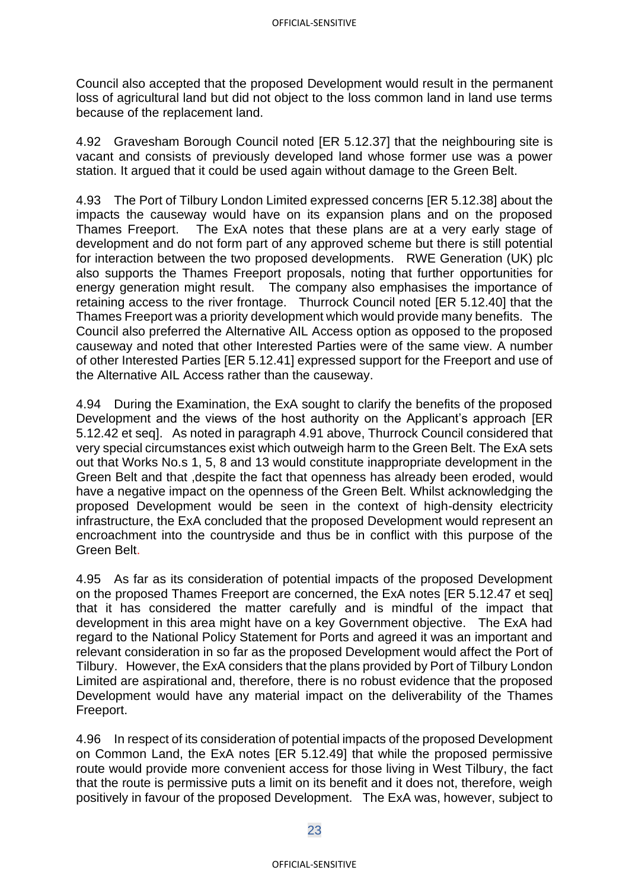Council also accepted that the proposed Development would result in the permanent loss of agricultural land but did not object to the loss common land in land use terms because of the replacement land.

4.92 Gravesham Borough Council noted [ER 5.12.37] that the neighbouring site is vacant and consists of previously developed land whose former use was a power station. It argued that it could be used again without damage to the Green Belt.

4.93 The Port of Tilbury London Limited expressed concerns [ER 5.12.38] about the impacts the causeway would have on its expansion plans and on the proposed Thames Freeport. The ExA notes that these plans are at a very early stage of development and do not form part of any approved scheme but there is still potential for interaction between the two proposed developments. RWE Generation (UK) plc also supports the Thames Freeport proposals, noting that further opportunities for energy generation might result. The company also emphasises the importance of retaining access to the river frontage. Thurrock Council noted [ER 5.12.40] that the Thames Freeport was a priority development which would provide many benefits. The Council also preferred the Alternative AIL Access option as opposed to the proposed causeway and noted that other Interested Parties were of the same view. A number of other Interested Parties [ER 5.12.41] expressed support for the Freeport and use of the Alternative AIL Access rather than the causeway.

4.94 During the Examination, the ExA sought to clarify the benefits of the proposed Development and the views of the host authority on the Applicant's approach [ER 5.12.42 et seq]. As noted in paragraph 4.91 above, Thurrock Council considered that very special circumstances exist which outweigh harm to the Green Belt. The ExA sets out that Works No.s 1, 5, 8 and 13 would constitute inappropriate development in the Green Belt and that ,despite the fact that openness has already been eroded, would have a negative impact on the openness of the Green Belt. Whilst acknowledging the proposed Development would be seen in the context of high-density electricity infrastructure, the ExA concluded that the proposed Development would represent an encroachment into the countryside and thus be in conflict with this purpose of the Green Belt.

4.95 As far as its consideration of potential impacts of the proposed Development on the proposed Thames Freeport are concerned, the ExA notes [ER 5.12.47 et seq] that it has considered the matter carefully and is mindful of the impact that development in this area might have on a key Government objective. The ExA had regard to the National Policy Statement for Ports and agreed it was an important and relevant consideration in so far as the proposed Development would affect the Port of Tilbury. However, the ExA considers that the plans provided by Port of Tilbury London Limited are aspirational and, therefore, there is no robust evidence that the proposed Development would have any material impact on the deliverability of the Thames Freeport.

4.96 In respect of its consideration of potential impacts of the proposed Development on Common Land, the ExA notes [ER 5.12.49] that while the proposed permissive route would provide more convenient access for those living in West Tilbury, the fact that the route is permissive puts a limit on its benefit and it does not, therefore, weigh positively in favour of the proposed Development. The ExA was, however, subject to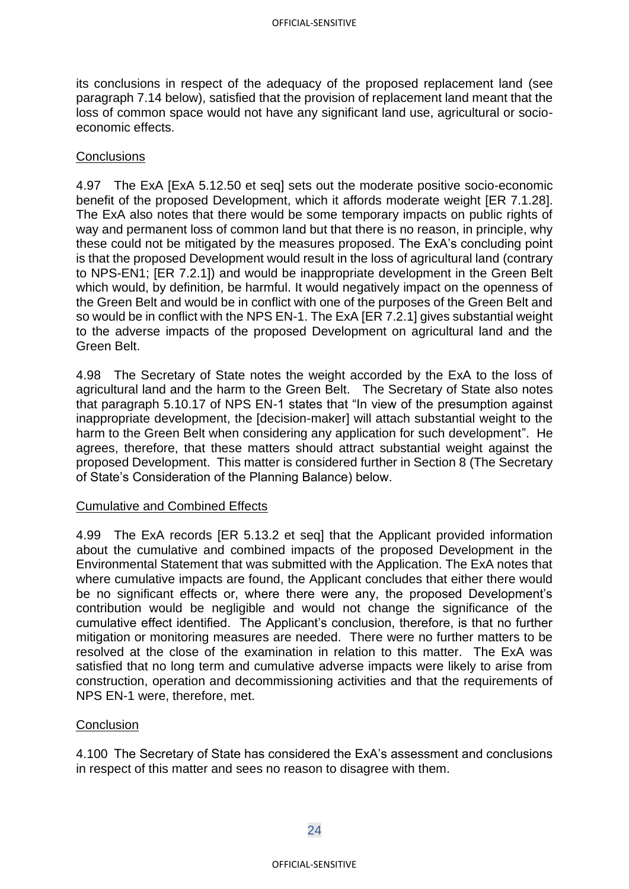its conclusions in respect of the adequacy of the proposed replacement land (see paragraph 7.14 below), satisfied that the provision of replacement land meant that the loss of common space would not have any significant land use, agricultural or socioeconomic effects.

### **Conclusions**

4.97 The ExA [ExA 5.12.50 et seq] sets out the moderate positive socio-economic benefit of the proposed Development, which it affords moderate weight [ER 7.1.28]. The ExA also notes that there would be some temporary impacts on public rights of way and permanent loss of common land but that there is no reason, in principle, why these could not be mitigated by the measures proposed. The ExA's concluding point is that the proposed Development would result in the loss of agricultural land (contrary to NPS-EN1; [ER 7.2.1]) and would be inappropriate development in the Green Belt which would, by definition, be harmful. It would negatively impact on the openness of the Green Belt and would be in conflict with one of the purposes of the Green Belt and so would be in conflict with the NPS EN-1. The ExA [ER 7.2.1] gives substantial weight to the adverse impacts of the proposed Development on agricultural land and the Green Belt.

4.98 The Secretary of State notes the weight accorded by the ExA to the loss of agricultural land and the harm to the Green Belt. The Secretary of State also notes that paragraph 5.10.17 of NPS EN-1 states that "In view of the presumption against inappropriate development, the [decision-maker] will attach substantial weight to the harm to the Green Belt when considering any application for such development". He agrees, therefore, that these matters should attract substantial weight against the proposed Development. This matter is considered further in Section 8 (The Secretary of State's Consideration of the Planning Balance) below.

#### Cumulative and Combined Effects

4.99 The ExA records [ER 5.13.2 et seq] that the Applicant provided information about the cumulative and combined impacts of the proposed Development in the Environmental Statement that was submitted with the Application. The ExA notes that where cumulative impacts are found, the Applicant concludes that either there would be no significant effects or, where there were any, the proposed Development's contribution would be negligible and would not change the significance of the cumulative effect identified. The Applicant's conclusion, therefore, is that no further mitigation or monitoring measures are needed. There were no further matters to be resolved at the close of the examination in relation to this matter. The ExA was satisfied that no long term and cumulative adverse impacts were likely to arise from construction, operation and decommissioning activities and that the requirements of NPS EN-1 were, therefore, met.

### **Conclusion**

4.100 The Secretary of State has considered the ExA's assessment and conclusions in respect of this matter and sees no reason to disagree with them.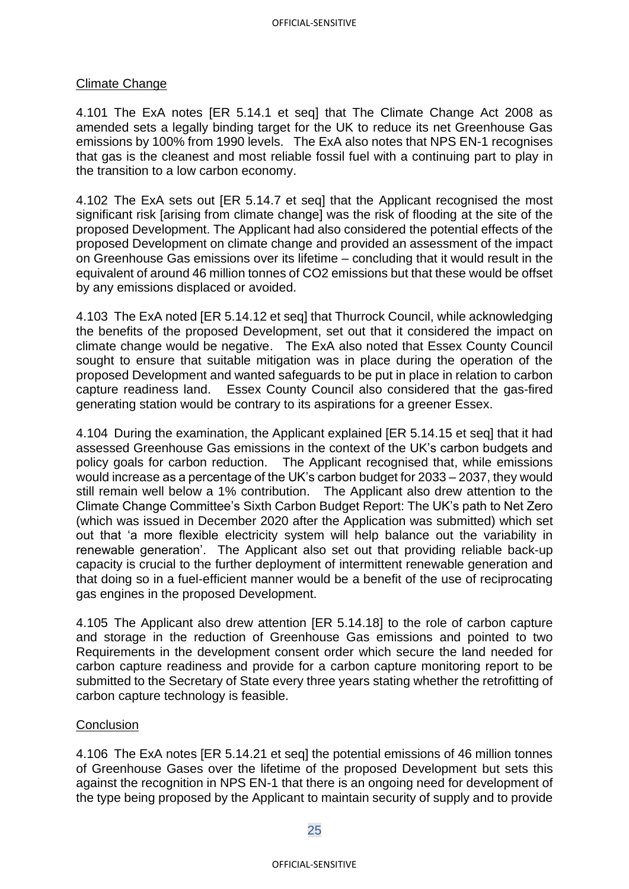### Climate Change

4.101 The ExA notes [ER 5.14.1 et seq] that The Climate Change Act 2008 as amended sets a legally binding target for the UK to reduce its net Greenhouse Gas emissions by 100% from 1990 levels. The ExA also notes that NPS EN-1 recognises that gas is the cleanest and most reliable fossil fuel with a continuing part to play in the transition to a low carbon economy.

4.102 The ExA sets out [ER 5.14.7 et seq] that the Applicant recognised the most significant risk [arising from climate change] was the risk of flooding at the site of the proposed Development. The Applicant had also considered the potential effects of the proposed Development on climate change and provided an assessment of the impact on Greenhouse Gas emissions over its lifetime – concluding that it would result in the equivalent of around 46 million tonnes of CO2 emissions but that these would be offset by any emissions displaced or avoided.

4.103 The ExA noted [ER 5.14.12 et seq] that Thurrock Council, while acknowledging the benefits of the proposed Development, set out that it considered the impact on climate change would be negative. The ExA also noted that Essex County Council sought to ensure that suitable mitigation was in place during the operation of the proposed Development and wanted safeguards to be put in place in relation to carbon capture readiness land. Essex County Council also considered that the gas-fired generating station would be contrary to its aspirations for a greener Essex.

4.104 During the examination, the Applicant explained [ER 5.14.15 et seq] that it had assessed Greenhouse Gas emissions in the context of the UK's carbon budgets and policy goals for carbon reduction. The Applicant recognised that, while emissions would increase as a percentage of the UK's carbon budget for 2033 – 2037, they would still remain well below a 1% contribution. The Applicant also drew attention to the Climate Change Committee's Sixth Carbon Budget Report: The UK's path to Net Zero (which was issued in December 2020 after the Application was submitted) which set out that 'a more flexible electricity system will help balance out the variability in renewable generation'. The Applicant also set out that providing reliable back-up capacity is crucial to the further deployment of intermittent renewable generation and that doing so in a fuel-efficient manner would be a benefit of the use of reciprocating gas engines in the proposed Development.

4.105 The Applicant also drew attention [ER 5.14.18] to the role of carbon capture and storage in the reduction of Greenhouse Gas emissions and pointed to two Requirements in the development consent order which secure the land needed for carbon capture readiness and provide for a carbon capture monitoring report to be submitted to the Secretary of State every three years stating whether the retrofitting of carbon capture technology is feasible.

### **Conclusion**

4.106 The ExA notes [ER 5.14.21 et seq] the potential emissions of 46 million tonnes of Greenhouse Gases over the lifetime of the proposed Development but sets this against the recognition in NPS EN-1 that there is an ongoing need for development of the type being proposed by the Applicant to maintain security of supply and to provide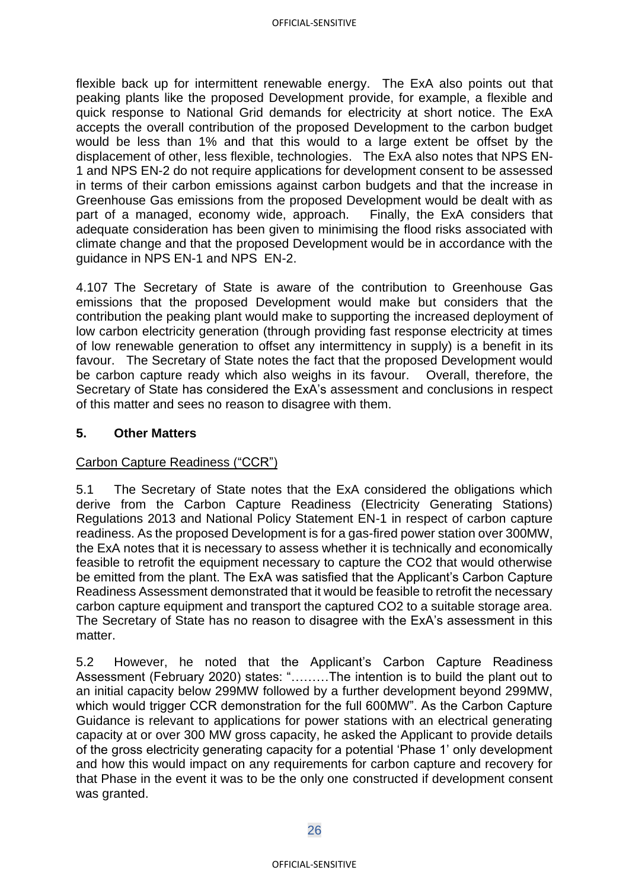flexible back up for intermittent renewable energy. The ExA also points out that peaking plants like the proposed Development provide, for example, a flexible and quick response to National Grid demands for electricity at short notice. The ExA accepts the overall contribution of the proposed Development to the carbon budget would be less than 1% and that this would to a large extent be offset by the displacement of other, less flexible, technologies. The ExA also notes that NPS EN-1 and NPS EN-2 do not require applications for development consent to be assessed in terms of their carbon emissions against carbon budgets and that the increase in Greenhouse Gas emissions from the proposed Development would be dealt with as part of a managed, economy wide, approach. Finally, the ExA considers that adequate consideration has been given to minimising the flood risks associated with climate change and that the proposed Development would be in accordance with the guidance in NPS EN-1 and NPS EN-2.

4.107 The Secretary of State is aware of the contribution to Greenhouse Gas emissions that the proposed Development would make but considers that the contribution the peaking plant would make to supporting the increased deployment of low carbon electricity generation (through providing fast response electricity at times of low renewable generation to offset any intermittency in supply) is a benefit in its favour. The Secretary of State notes the fact that the proposed Development would be carbon capture ready which also weighs in its favour. Overall, therefore, the Secretary of State has considered the ExA's assessment and conclusions in respect of this matter and sees no reason to disagree with them.

### **5. Other Matters**

### Carbon Capture Readiness ("CCR")

5.1 The Secretary of State notes that the ExA considered the obligations which derive from the Carbon Capture Readiness (Electricity Generating Stations) Regulations 2013 and National Policy Statement EN-1 in respect of carbon capture readiness. As the proposed Development is for a gas-fired power station over 300MW, the ExA notes that it is necessary to assess whether it is technically and economically feasible to retrofit the equipment necessary to capture the CO2 that would otherwise be emitted from the plant. The ExA was satisfied that the Applicant's Carbon Capture Readiness Assessment demonstrated that it would be feasible to retrofit the necessary carbon capture equipment and transport the captured CO2 to a suitable storage area. The Secretary of State has no reason to disagree with the ExA's assessment in this matter

5.2 However, he noted that the Applicant's Carbon Capture Readiness Assessment (February 2020) states: "………The intention is to build the plant out to an initial capacity below 299MW followed by a further development beyond 299MW, which would trigger CCR demonstration for the full 600MW". As the Carbon Capture Guidance is relevant to applications for power stations with an electrical generating capacity at or over 300 MW gross capacity, he asked the Applicant to provide details of the gross electricity generating capacity for a potential 'Phase 1' only development and how this would impact on any requirements for carbon capture and recovery for that Phase in the event it was to be the only one constructed if development consent was granted.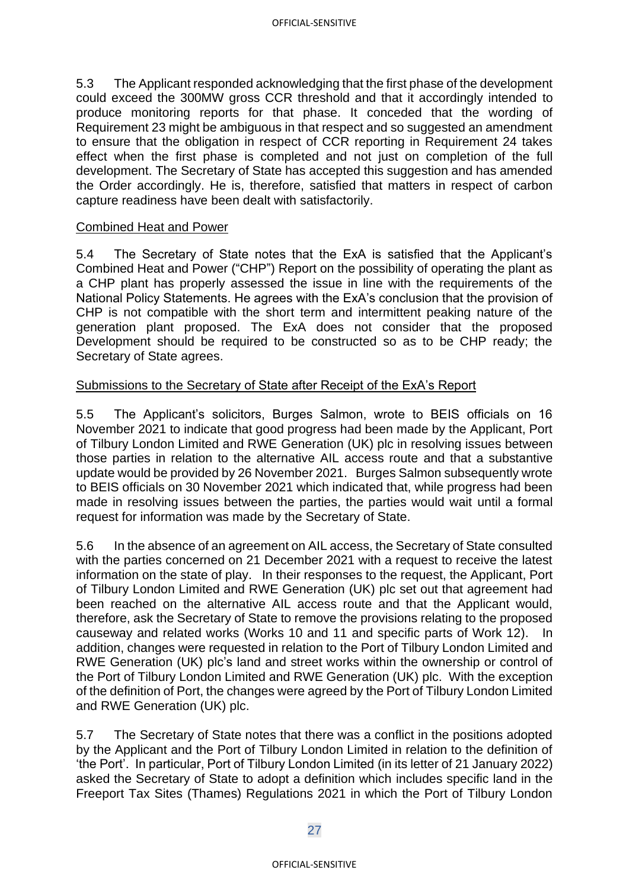5.3 The Applicant responded acknowledging that the first phase of the development could exceed the 300MW gross CCR threshold and that it accordingly intended to produce monitoring reports for that phase. It conceded that the wording of Requirement 23 might be ambiguous in that respect and so suggested an amendment to ensure that the obligation in respect of CCR reporting in Requirement 24 takes effect when the first phase is completed and not just on completion of the full development. The Secretary of State has accepted this suggestion and has amended the Order accordingly. He is, therefore, satisfied that matters in respect of carbon capture readiness have been dealt with satisfactorily.

### Combined Heat and Power

5.4 The Secretary of State notes that the ExA is satisfied that the Applicant's Combined Heat and Power ("CHP") Report on the possibility of operating the plant as a CHP plant has properly assessed the issue in line with the requirements of the National Policy Statements. He agrees with the ExA's conclusion that the provision of CHP is not compatible with the short term and intermittent peaking nature of the generation plant proposed. The ExA does not consider that the proposed Development should be required to be constructed so as to be CHP ready; the Secretary of State agrees.

### Submissions to the Secretary of State after Receipt of the ExA's Report

5.5 The Applicant's solicitors, Burges Salmon, wrote to BEIS officials on 16 November 2021 to indicate that good progress had been made by the Applicant, Port of Tilbury London Limited and RWE Generation (UK) plc in resolving issues between those parties in relation to the alternative AIL access route and that a substantive update would be provided by 26 November 2021. Burges Salmon subsequently wrote to BEIS officials on 30 November 2021 which indicated that, while progress had been made in resolving issues between the parties, the parties would wait until a formal request for information was made by the Secretary of State.

5.6 In the absence of an agreement on AIL access, the Secretary of State consulted with the parties concerned on 21 December 2021 with a request to receive the latest information on the state of play. In their responses to the request, the Applicant, Port of Tilbury London Limited and RWE Generation (UK) plc set out that agreement had been reached on the alternative AIL access route and that the Applicant would, therefore, ask the Secretary of State to remove the provisions relating to the proposed causeway and related works (Works 10 and 11 and specific parts of Work 12). In addition, changes were requested in relation to the Port of Tilbury London Limited and RWE Generation (UK) plc's land and street works within the ownership or control of the Port of Tilbury London Limited and RWE Generation (UK) plc. With the exception of the definition of Port, the changes were agreed by the Port of Tilbury London Limited and RWE Generation (UK) plc.

5.7 The Secretary of State notes that there was a conflict in the positions adopted by the Applicant and the Port of Tilbury London Limited in relation to the definition of 'the Port'. In particular, Port of Tilbury London Limited (in its letter of 21 January 2022) asked the Secretary of State to adopt a definition which includes specific land in the Freeport Tax Sites (Thames) Regulations 2021 in which the Port of Tilbury London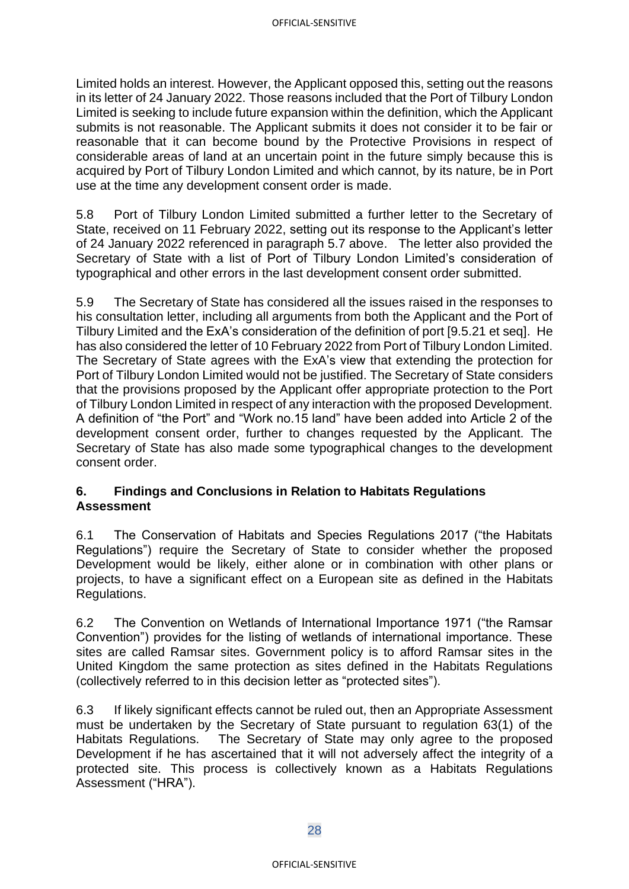Limited holds an interest. However, the Applicant opposed this, setting out the reasons in its letter of 24 January 2022. Those reasons included that the Port of Tilbury London Limited is seeking to include future expansion within the definition, which the Applicant submits is not reasonable. The Applicant submits it does not consider it to be fair or reasonable that it can become bound by the Protective Provisions in respect of considerable areas of land at an uncertain point in the future simply because this is acquired by Port of Tilbury London Limited and which cannot, by its nature, be in Port use at the time any development consent order is made.

5.8 Port of Tilbury London Limited submitted a further letter to the Secretary of State, received on 11 February 2022, setting out its response to the Applicant's letter of 24 January 2022 referenced in paragraph 5.7 above. The letter also provided the Secretary of State with a list of Port of Tilbury London Limited's consideration of typographical and other errors in the last development consent order submitted.

5.9 The Secretary of State has considered all the issues raised in the responses to his consultation letter, including all arguments from both the Applicant and the Port of Tilbury Limited and the ExA's consideration of the definition of port [9.5.21 et seq]. He has also considered the letter of 10 February 2022 from Port of Tilbury London Limited. The Secretary of State agrees with the ExA's view that extending the protection for Port of Tilbury London Limited would not be justified. The Secretary of State considers that the provisions proposed by the Applicant offer appropriate protection to the Port of Tilbury London Limited in respect of any interaction with the proposed Development. A definition of "the Port" and "Work no.15 land" have been added into Article 2 of the development consent order, further to changes requested by the Applicant. The Secretary of State has also made some typographical changes to the development consent order.

### **6. Findings and Conclusions in Relation to Habitats Regulations Assessment**

6.1 The Conservation of Habitats and Species Regulations 2017 ("the Habitats Regulations") require the Secretary of State to consider whether the proposed Development would be likely, either alone or in combination with other plans or projects, to have a significant effect on a European site as defined in the Habitats Regulations.

6.2 The Convention on Wetlands of International Importance 1971 ("the Ramsar Convention") provides for the listing of wetlands of international importance. These sites are called Ramsar sites. Government policy is to afford Ramsar sites in the United Kingdom the same protection as sites defined in the Habitats Regulations (collectively referred to in this decision letter as "protected sites").

6.3 If likely significant effects cannot be ruled out, then an Appropriate Assessment must be undertaken by the Secretary of State pursuant to regulation 63(1) of the Habitats Regulations. The Secretary of State may only agree to the proposed Development if he has ascertained that it will not adversely affect the integrity of a protected site. This process is collectively known as a Habitats Regulations Assessment ("HRA").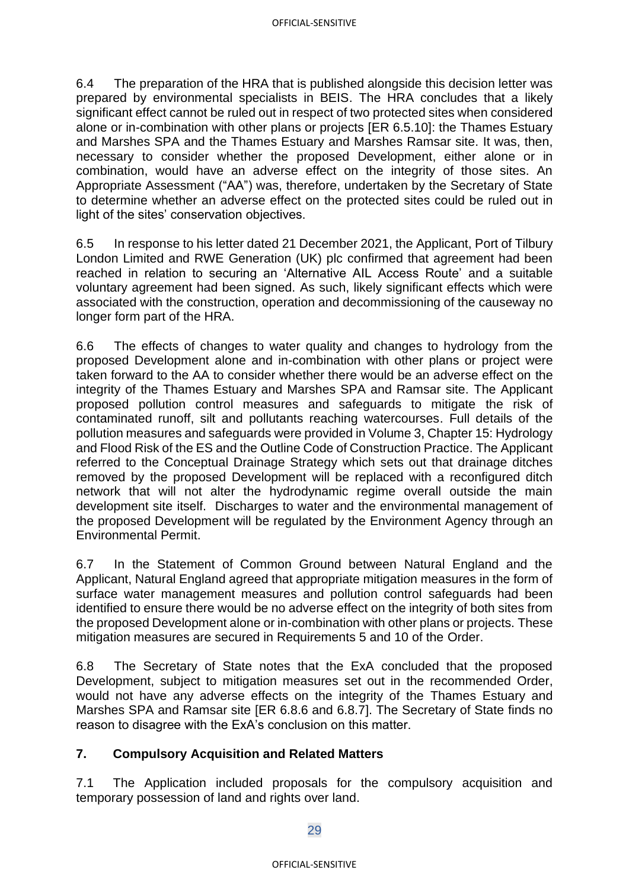6.4 The preparation of the HRA that is published alongside this decision letter was prepared by environmental specialists in BEIS. The HRA concludes that a likely significant effect cannot be ruled out in respect of two protected sites when considered alone or in-combination with other plans or projects [ER 6.5.10]: the Thames Estuary and Marshes SPA and the Thames Estuary and Marshes Ramsar site. It was, then, necessary to consider whether the proposed Development, either alone or in combination, would have an adverse effect on the integrity of those sites. An Appropriate Assessment ("AA") was, therefore, undertaken by the Secretary of State to determine whether an adverse effect on the protected sites could be ruled out in light of the sites' conservation objectives.

6.5 In response to his letter dated 21 December 2021, the Applicant, Port of Tilbury London Limited and RWE Generation (UK) plc confirmed that agreement had been reached in relation to securing an 'Alternative AIL Access Route' and a suitable voluntary agreement had been signed. As such, likely significant effects which were associated with the construction, operation and decommissioning of the causeway no longer form part of the HRA.

6.6 The effects of changes to water quality and changes to hydrology from the proposed Development alone and in-combination with other plans or project were taken forward to the AA to consider whether there would be an adverse effect on the integrity of the Thames Estuary and Marshes SPA and Ramsar site. The Applicant proposed pollution control measures and safeguards to mitigate the risk of contaminated runoff, silt and pollutants reaching watercourses. Full details of the pollution measures and safeguards were provided in Volume 3, Chapter 15: Hydrology and Flood Risk of the ES and the Outline Code of Construction Practice. The Applicant referred to the Conceptual Drainage Strategy which sets out that drainage ditches removed by the proposed Development will be replaced with a reconfigured ditch network that will not alter the hydrodynamic regime overall outside the main development site itself. Discharges to water and the environmental management of the proposed Development will be regulated by the Environment Agency through an Environmental Permit.

6.7 In the Statement of Common Ground between Natural England and the Applicant, Natural England agreed that appropriate mitigation measures in the form of surface water management measures and pollution control safeguards had been identified to ensure there would be no adverse effect on the integrity of both sites from the proposed Development alone or in-combination with other plans or projects. These mitigation measures are secured in Requirements 5 and 10 of the Order.

6.8 The Secretary of State notes that the ExA concluded that the proposed Development, subject to mitigation measures set out in the recommended Order, would not have any adverse effects on the integrity of the Thames Estuary and Marshes SPA and Ramsar site [ER 6.8.6 and 6.8.7]. The Secretary of State finds no reason to disagree with the ExA's conclusion on this matter.

## **7. Compulsory Acquisition and Related Matters**

7.1 The Application included proposals for the compulsory acquisition and temporary possession of land and rights over land.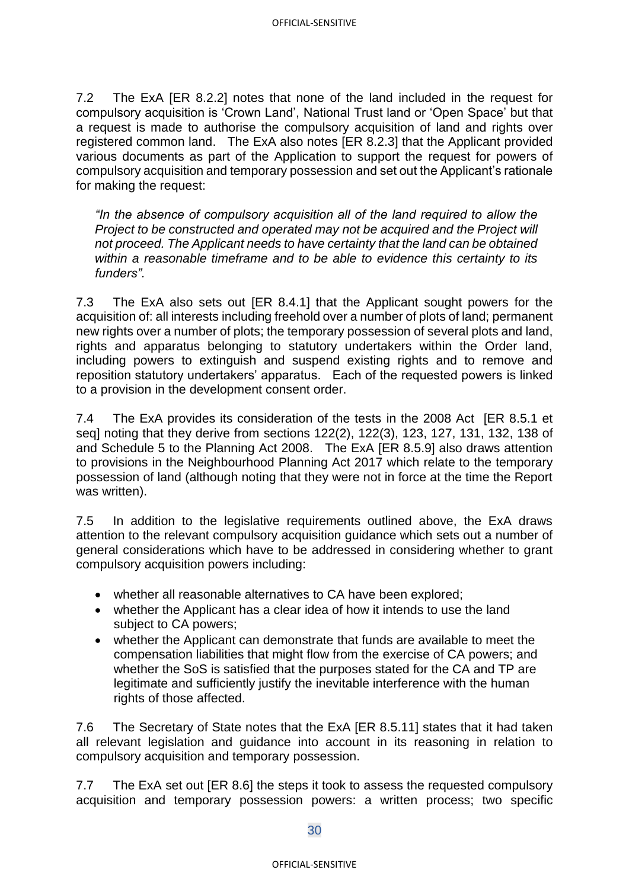7.2 The ExA [ER 8.2.2] notes that none of the land included in the request for compulsory acquisition is 'Crown Land', National Trust land or 'Open Space' but that a request is made to authorise the compulsory acquisition of land and rights over registered common land. The ExA also notes [ER 8.2.3] that the Applicant provided various documents as part of the Application to support the request for powers of compulsory acquisition and temporary possession and set out the Applicant's rationale for making the request:

*"In the absence of compulsory acquisition all of the land required to allow the Project to be constructed and operated may not be acquired and the Project will not proceed. The Applicant needs to have certainty that the land can be obtained within a reasonable timeframe and to be able to evidence this certainty to its funders".* 

7.3 The ExA also sets out [ER 8.4.1] that the Applicant sought powers for the acquisition of: all interests including freehold over a number of plots of land; permanent new rights over a number of plots; the temporary possession of several plots and land, rights and apparatus belonging to statutory undertakers within the Order land, including powers to extinguish and suspend existing rights and to remove and reposition statutory undertakers' apparatus. Each of the requested powers is linked to a provision in the development consent order.

7.4 The ExA provides its consideration of the tests in the 2008 Act [ER 8.5.1 et seq] noting that they derive from sections 122(2), 122(3), 123, 127, 131, 132, 138 of and Schedule 5 to the Planning Act 2008. The ExA [ER 8.5.9] also draws attention to provisions in the Neighbourhood Planning Act 2017 which relate to the temporary possession of land (although noting that they were not in force at the time the Report was written).

7.5 In addition to the legislative requirements outlined above, the ExA draws attention to the relevant compulsory acquisition guidance which sets out a number of general considerations which have to be addressed in considering whether to grant compulsory acquisition powers including:

- whether all reasonable alternatives to CA have been explored;
- whether the Applicant has a clear idea of how it intends to use the land subject to CA powers;
- whether the Applicant can demonstrate that funds are available to meet the compensation liabilities that might flow from the exercise of CA powers; and whether the SoS is satisfied that the purposes stated for the CA and TP are legitimate and sufficiently justify the inevitable interference with the human rights of those affected.

7.6 The Secretary of State notes that the ExA [ER 8.5.11] states that it had taken all relevant legislation and guidance into account in its reasoning in relation to compulsory acquisition and temporary possession.

7.7 The ExA set out [ER 8.6] the steps it took to assess the requested compulsory acquisition and temporary possession powers: a written process; two specific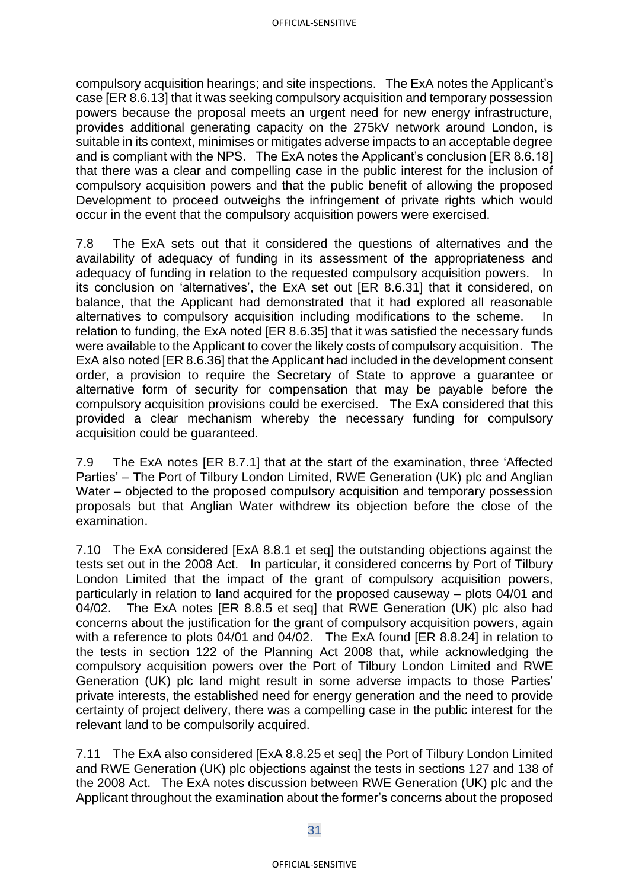compulsory acquisition hearings; and site inspections. The ExA notes the Applicant's case [ER 8.6.13] that it was seeking compulsory acquisition and temporary possession powers because the proposal meets an urgent need for new energy infrastructure, provides additional generating capacity on the 275kV network around London, is suitable in its context, minimises or mitigates adverse impacts to an acceptable degree and is compliant with the NPS. The ExA notes the Applicant's conclusion [ER 8.6.18] that there was a clear and compelling case in the public interest for the inclusion of compulsory acquisition powers and that the public benefit of allowing the proposed Development to proceed outweighs the infringement of private rights which would occur in the event that the compulsory acquisition powers were exercised.

7.8 The ExA sets out that it considered the questions of alternatives and the availability of adequacy of funding in its assessment of the appropriateness and adequacy of funding in relation to the requested compulsory acquisition powers. In its conclusion on 'alternatives', the ExA set out [ER 8.6.31] that it considered, on balance, that the Applicant had demonstrated that it had explored all reasonable alternatives to compulsory acquisition including modifications to the scheme. In relation to funding, the ExA noted [ER 8.6.35] that it was satisfied the necessary funds were available to the Applicant to cover the likely costs of compulsory acquisition. The ExA also noted [ER 8.6.36] that the Applicant had included in the development consent order, a provision to require the Secretary of State to approve a guarantee or alternative form of security for compensation that may be payable before the compulsory acquisition provisions could be exercised. The ExA considered that this provided a clear mechanism whereby the necessary funding for compulsory acquisition could be guaranteed.

7.9 The ExA notes [ER 8.7.1] that at the start of the examination, three 'Affected Parties' – The Port of Tilbury London Limited, RWE Generation (UK) plc and Anglian Water – objected to the proposed compulsory acquisition and temporary possession proposals but that Anglian Water withdrew its objection before the close of the examination.

7.10 The ExA considered [ExA 8.8.1 et seq] the outstanding objections against the tests set out in the 2008 Act. In particular, it considered concerns by Port of Tilbury London Limited that the impact of the grant of compulsory acquisition powers, particularly in relation to land acquired for the proposed causeway – plots 04/01 and 04/02. The ExA notes [ER 8.8.5 et seq] that RWE Generation (UK) plc also had concerns about the justification for the grant of compulsory acquisition powers, again with a reference to plots 04/01 and 04/02. The ExA found [ER 8.8.24] in relation to the tests in section 122 of the Planning Act 2008 that, while acknowledging the compulsory acquisition powers over the Port of Tilbury London Limited and RWE Generation (UK) plc land might result in some adverse impacts to those Parties' private interests, the established need for energy generation and the need to provide certainty of project delivery, there was a compelling case in the public interest for the relevant land to be compulsorily acquired.

7.11 The ExA also considered [ExA 8.8.25 et seq] the Port of Tilbury London Limited and RWE Generation (UK) plc objections against the tests in sections 127 and 138 of the 2008 Act. The ExA notes discussion between RWE Generation (UK) plc and the Applicant throughout the examination about the former's concerns about the proposed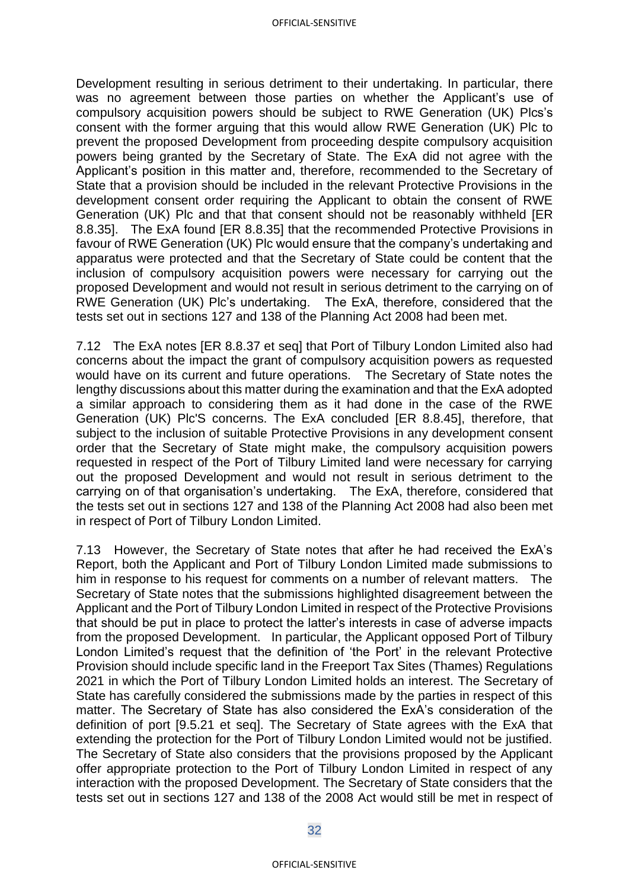Development resulting in serious detriment to their undertaking. In particular, there was no agreement between those parties on whether the Applicant's use of compulsory acquisition powers should be subject to RWE Generation (UK) Plcs's consent with the former arguing that this would allow RWE Generation (UK) Plc to prevent the proposed Development from proceeding despite compulsory acquisition powers being granted by the Secretary of State. The ExA did not agree with the Applicant's position in this matter and, therefore, recommended to the Secretary of State that a provision should be included in the relevant Protective Provisions in the development consent order requiring the Applicant to obtain the consent of RWE Generation (UK) Plc and that that consent should not be reasonably withheld [ER 8.8.35]. The ExA found [ER 8.8.35] that the recommended Protective Provisions in favour of RWE Generation (UK) Plc would ensure that the company's undertaking and apparatus were protected and that the Secretary of State could be content that the inclusion of compulsory acquisition powers were necessary for carrying out the proposed Development and would not result in serious detriment to the carrying on of RWE Generation (UK) Plc's undertaking. The ExA, therefore, considered that the tests set out in sections 127 and 138 of the Planning Act 2008 had been met.

7.12 The ExA notes [ER 8.8.37 et seq] that Port of Tilbury London Limited also had concerns about the impact the grant of compulsory acquisition powers as requested would have on its current and future operations. The Secretary of State notes the lengthy discussions about this matter during the examination and that the ExA adopted a similar approach to considering them as it had done in the case of the RWE Generation (UK) Plc'S concerns. The ExA concluded [ER 8.8.45], therefore, that subject to the inclusion of suitable Protective Provisions in any development consent order that the Secretary of State might make, the compulsory acquisition powers requested in respect of the Port of Tilbury Limited land were necessary for carrying out the proposed Development and would not result in serious detriment to the carrying on of that organisation's undertaking. The ExA, therefore, considered that the tests set out in sections 127 and 138 of the Planning Act 2008 had also been met in respect of Port of Tilbury London Limited.

7.13 However, the Secretary of State notes that after he had received the ExA's Report, both the Applicant and Port of Tilbury London Limited made submissions to him in response to his request for comments on a number of relevant matters. The Secretary of State notes that the submissions highlighted disagreement between the Applicant and the Port of Tilbury London Limited in respect of the Protective Provisions that should be put in place to protect the latter's interests in case of adverse impacts from the proposed Development. In particular, the Applicant opposed Port of Tilbury London Limited's request that the definition of 'the Port' in the relevant Protective Provision should include specific land in the Freeport Tax Sites (Thames) Regulations 2021 in which the Port of Tilbury London Limited holds an interest. The Secretary of State has carefully considered the submissions made by the parties in respect of this matter. The Secretary of State has also considered the ExA's consideration of the definition of port [9.5.21 et seq]. The Secretary of State agrees with the ExA that extending the protection for the Port of Tilbury London Limited would not be justified. The Secretary of State also considers that the provisions proposed by the Applicant offer appropriate protection to the Port of Tilbury London Limited in respect of any interaction with the proposed Development. The Secretary of State considers that the tests set out in sections 127 and 138 of the 2008 Act would still be met in respect of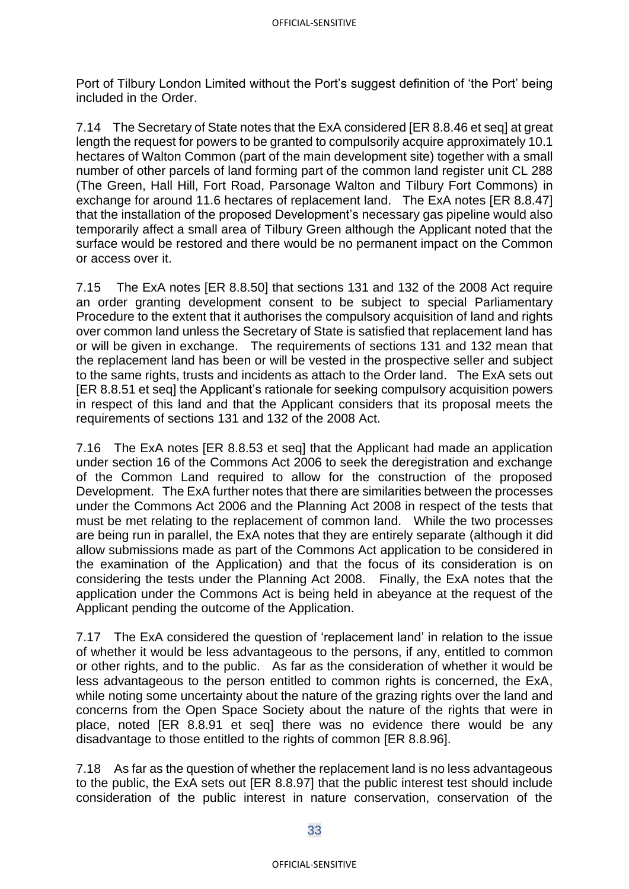Port of Tilbury London Limited without the Port's suggest definition of 'the Port' being included in the Order.

7.14 The Secretary of State notes that the ExA considered [ER 8.8.46 et seq] at great length the request for powers to be granted to compulsorily acquire approximately 10.1 hectares of Walton Common (part of the main development site) together with a small number of other parcels of land forming part of the common land register unit CL 288 (The Green, Hall Hill, Fort Road, Parsonage Walton and Tilbury Fort Commons) in exchange for around 11.6 hectares of replacement land. The ExA notes [ER 8.8.47] that the installation of the proposed Development's necessary gas pipeline would also temporarily affect a small area of Tilbury Green although the Applicant noted that the surface would be restored and there would be no permanent impact on the Common or access over it.

7.15 The ExA notes [ER 8.8.50] that sections 131 and 132 of the 2008 Act require an order granting development consent to be subject to special Parliamentary Procedure to the extent that it authorises the compulsory acquisition of land and rights over common land unless the Secretary of State is satisfied that replacement land has or will be given in exchange. The requirements of sections 131 and 132 mean that the replacement land has been or will be vested in the prospective seller and subject to the same rights, trusts and incidents as attach to the Order land. The ExA sets out [ER 8.8.51 et seq] the Applicant's rationale for seeking compulsory acquisition powers in respect of this land and that the Applicant considers that its proposal meets the requirements of sections 131 and 132 of the 2008 Act.

7.16 The ExA notes [ER 8.8.53 et seq] that the Applicant had made an application under section 16 of the Commons Act 2006 to seek the deregistration and exchange of the Common Land required to allow for the construction of the proposed Development. The ExA further notes that there are similarities between the processes under the Commons Act 2006 and the Planning Act 2008 in respect of the tests that must be met relating to the replacement of common land. While the two processes are being run in parallel, the ExA notes that they are entirely separate (although it did allow submissions made as part of the Commons Act application to be considered in the examination of the Application) and that the focus of its consideration is on considering the tests under the Planning Act 2008. Finally, the ExA notes that the application under the Commons Act is being held in abeyance at the request of the Applicant pending the outcome of the Application.

7.17 The ExA considered the question of 'replacement land' in relation to the issue of whether it would be less advantageous to the persons, if any, entitled to common or other rights, and to the public. As far as the consideration of whether it would be less advantageous to the person entitled to common rights is concerned, the ExA, while noting some uncertainty about the nature of the grazing rights over the land and concerns from the Open Space Society about the nature of the rights that were in place, noted [ER 8.8.91 et seq] there was no evidence there would be any disadvantage to those entitled to the rights of common [ER 8.8.96].

7.18 As far as the question of whether the replacement land is no less advantageous to the public, the ExA sets out [ER 8.8.97] that the public interest test should include consideration of the public interest in nature conservation, conservation of the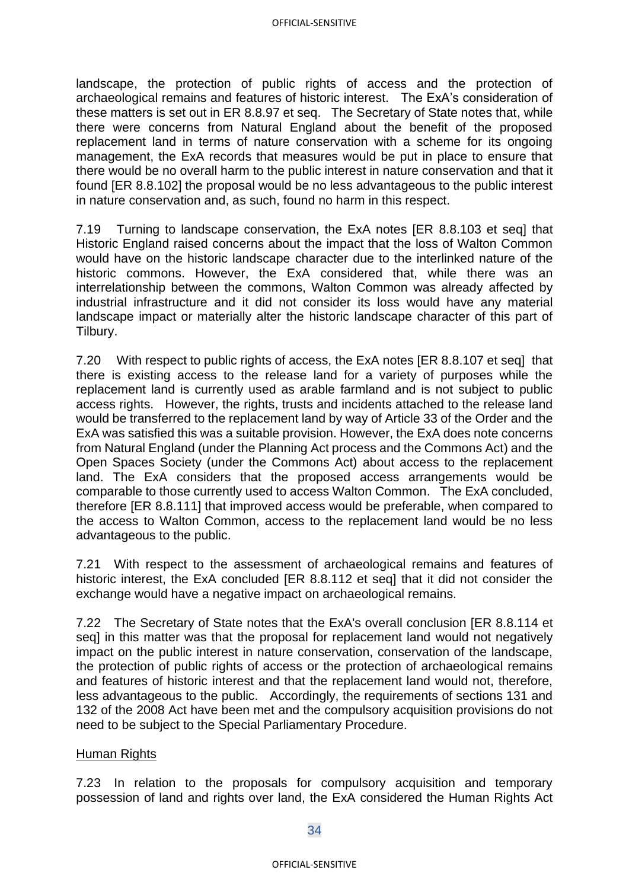landscape, the protection of public rights of access and the protection of archaeological remains and features of historic interest. The ExA's consideration of these matters is set out in ER 8.8.97 et seq. The Secretary of State notes that, while there were concerns from Natural England about the benefit of the proposed replacement land in terms of nature conservation with a scheme for its ongoing management, the ExA records that measures would be put in place to ensure that there would be no overall harm to the public interest in nature conservation and that it found [ER 8.8.102] the proposal would be no less advantageous to the public interest in nature conservation and, as such, found no harm in this respect.

7.19 Turning to landscape conservation, the ExA notes [ER 8.8.103 et seq] that Historic England raised concerns about the impact that the loss of Walton Common would have on the historic landscape character due to the interlinked nature of the historic commons. However, the ExA considered that, while there was an interrelationship between the commons, Walton Common was already affected by industrial infrastructure and it did not consider its loss would have any material landscape impact or materially alter the historic landscape character of this part of Tilbury.

7.20 With respect to public rights of access, the ExA notes [ER 8.8.107 et seq] that there is existing access to the release land for a variety of purposes while the replacement land is currently used as arable farmland and is not subject to public access rights. However, the rights, trusts and incidents attached to the release land would be transferred to the replacement land by way of Article 33 of the Order and the ExA was satisfied this was a suitable provision. However, the ExA does note concerns from Natural England (under the Planning Act process and the Commons Act) and the Open Spaces Society (under the Commons Act) about access to the replacement land. The ExA considers that the proposed access arrangements would be comparable to those currently used to access Walton Common. The ExA concluded, therefore [ER 8.8.111] that improved access would be preferable, when compared to the access to Walton Common, access to the replacement land would be no less advantageous to the public.

7.21 With respect to the assessment of archaeological remains and features of historic interest, the ExA concluded [ER 8.8.112 et seq] that it did not consider the exchange would have a negative impact on archaeological remains.

7.22 The Secretary of State notes that the ExA's overall conclusion [ER 8.8.114 et seq] in this matter was that the proposal for replacement land would not negatively impact on the public interest in nature conservation, conservation of the landscape, the protection of public rights of access or the protection of archaeological remains and features of historic interest and that the replacement land would not, therefore, less advantageous to the public. Accordingly, the requirements of sections 131 and 132 of the 2008 Act have been met and the compulsory acquisition provisions do not need to be subject to the Special Parliamentary Procedure.

### Human Rights

7.23 In relation to the proposals for compulsory acquisition and temporary possession of land and rights over land, the ExA considered the Human Rights Act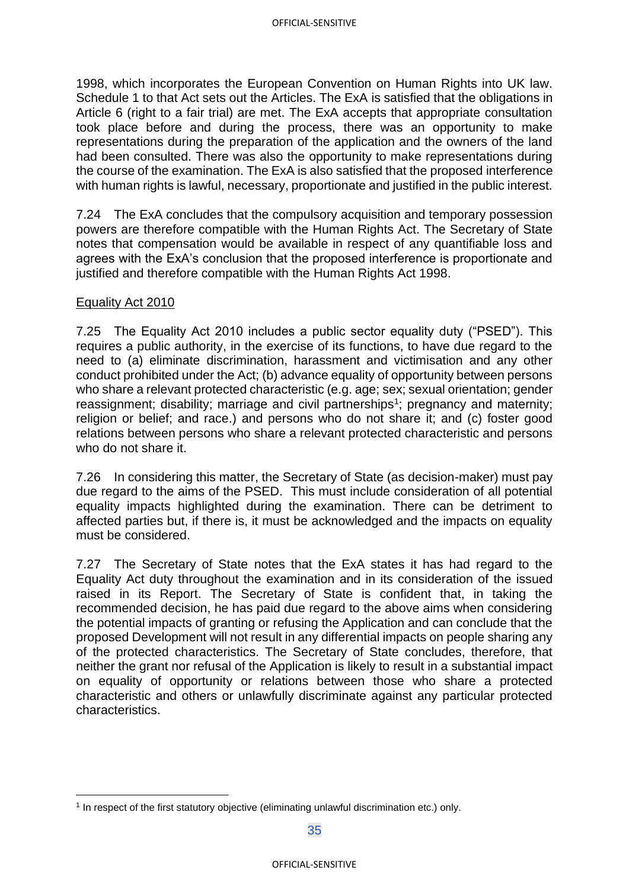1998, which incorporates the European Convention on Human Rights into UK law. Schedule 1 to that Act sets out the Articles. The ExA is satisfied that the obligations in Article 6 (right to a fair trial) are met. The ExA accepts that appropriate consultation took place before and during the process, there was an opportunity to make representations during the preparation of the application and the owners of the land had been consulted. There was also the opportunity to make representations during the course of the examination. The ExA is also satisfied that the proposed interference with human rights is lawful, necessary, proportionate and justified in the public interest.

7.24 The ExA concludes that the compulsory acquisition and temporary possession powers are therefore compatible with the Human Rights Act. The Secretary of State notes that compensation would be available in respect of any quantifiable loss and agrees with the ExA's conclusion that the proposed interference is proportionate and justified and therefore compatible with the Human Rights Act 1998.

### Equality Act 2010

7.25 The Equality Act 2010 includes a public sector equality duty ("PSED"). This requires a public authority, in the exercise of its functions, to have due regard to the need to (a) eliminate discrimination, harassment and victimisation and any other conduct prohibited under the Act; (b) advance equality of opportunity between persons who share a relevant protected characteristic (e.g. age; sex; sexual orientation; gender reassignment; disability; marriage and civil partnerships<sup>1</sup>; pregnancy and maternity; religion or belief; and race.) and persons who do not share it; and (c) foster good relations between persons who share a relevant protected characteristic and persons who do not share it.

7.26 In considering this matter, the Secretary of State (as decision-maker) must pay due regard to the aims of the PSED. This must include consideration of all potential equality impacts highlighted during the examination. There can be detriment to affected parties but, if there is, it must be acknowledged and the impacts on equality must be considered.

7.27 The Secretary of State notes that the ExA states it has had regard to the Equality Act duty throughout the examination and in its consideration of the issued raised in its Report. The Secretary of State is confident that, in taking the recommended decision, he has paid due regard to the above aims when considering the potential impacts of granting or refusing the Application and can conclude that the proposed Development will not result in any differential impacts on people sharing any of the protected characteristics. The Secretary of State concludes, therefore, that neither the grant nor refusal of the Application is likely to result in a substantial impact on equality of opportunity or relations between those who share a protected characteristic and others or unlawfully discriminate against any particular protected characteristics.

<sup>1</sup> In respect of the first statutory objective (eliminating unlawful discrimination etc.) only.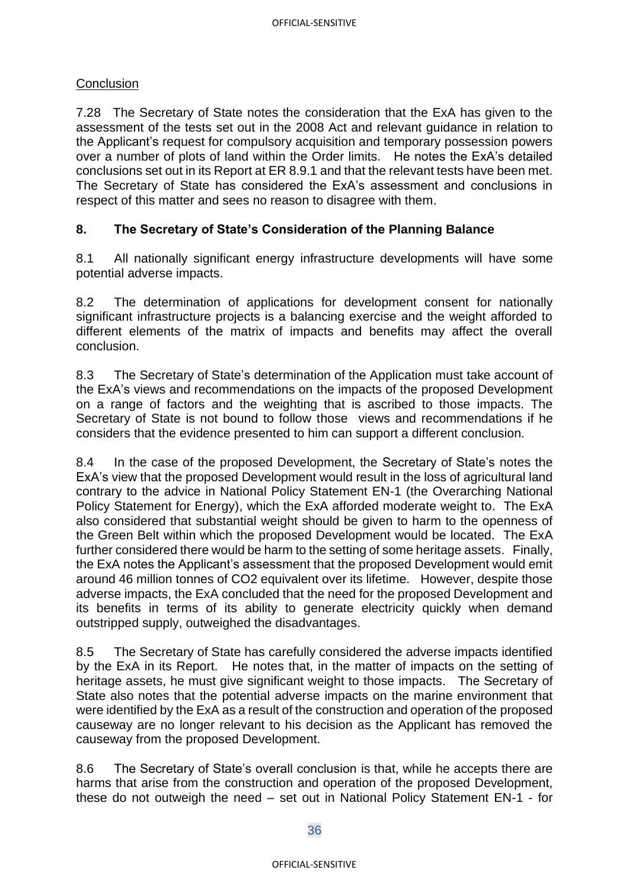## **Conclusion**

7.28 The Secretary of State notes the consideration that the ExA has given to the assessment of the tests set out in the 2008 Act and relevant guidance in relation to the Applicant's request for compulsory acquisition and temporary possession powers over a number of plots of land within the Order limits. He notes the ExA's detailed conclusions set out in its Report at ER 8.9.1 and that the relevant tests have been met. The Secretary of State has considered the ExA's assessment and conclusions in respect of this matter and sees no reason to disagree with them.

## **8. The Secretary of State's Consideration of the Planning Balance**

8.1 All nationally significant energy infrastructure developments will have some potential adverse impacts.

8.2 The determination of applications for development consent for nationally significant infrastructure projects is a balancing exercise and the weight afforded to different elements of the matrix of impacts and benefits may affect the overall conclusion.

8.3 The Secretary of State's determination of the Application must take account of the ExA's views and recommendations on the impacts of the proposed Development on a range of factors and the weighting that is ascribed to those impacts. The Secretary of State is not bound to follow those views and recommendations if he considers that the evidence presented to him can support a different conclusion.

8.4 In the case of the proposed Development, the Secretary of State's notes the ExA's view that the proposed Development would result in the loss of agricultural land contrary to the advice in National Policy Statement EN-1 (the Overarching National Policy Statement for Energy), which the ExA afforded moderate weight to. The ExA also considered that substantial weight should be given to harm to the openness of the Green Belt within which the proposed Development would be located. The ExA further considered there would be harm to the setting of some heritage assets. Finally, the ExA notes the Applicant's assessment that the proposed Development would emit around 46 million tonnes of CO2 equivalent over its lifetime. However, despite those adverse impacts, the ExA concluded that the need for the proposed Development and its benefits in terms of its ability to generate electricity quickly when demand outstripped supply, outweighed the disadvantages.

8.5 The Secretary of State has carefully considered the adverse impacts identified by the ExA in its Report. He notes that, in the matter of impacts on the setting of heritage assets, he must give significant weight to those impacts. The Secretary of State also notes that the potential adverse impacts on the marine environment that were identified by the ExA as a result of the construction and operation of the proposed causeway are no longer relevant to his decision as the Applicant has removed the causeway from the proposed Development.

8.6 The Secretary of State's overall conclusion is that, while he accepts there are harms that arise from the construction and operation of the proposed Development, these do not outweigh the need – set out in National Policy Statement EN-1 - for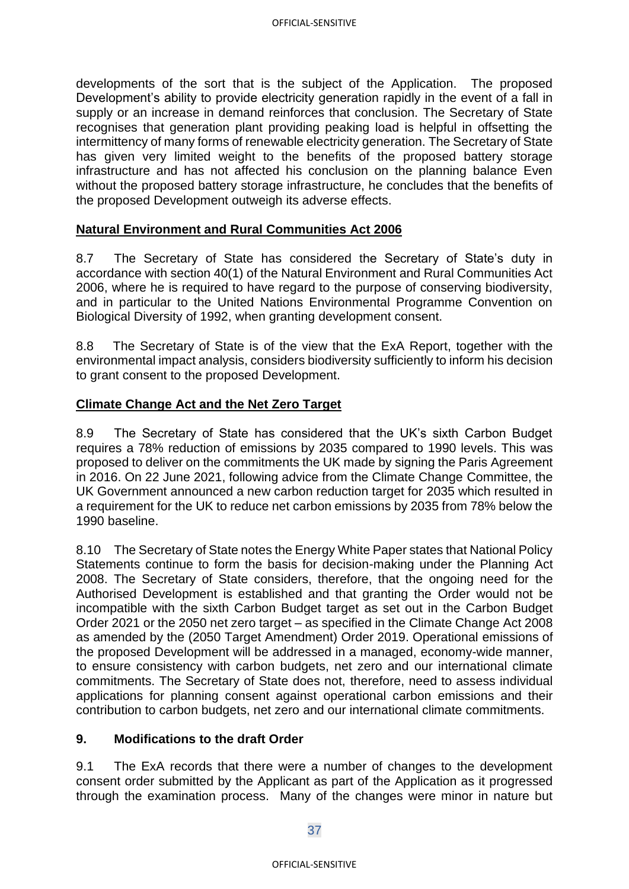developments of the sort that is the subject of the Application. The proposed Development's ability to provide electricity generation rapidly in the event of a fall in supply or an increase in demand reinforces that conclusion. The Secretary of State recognises that generation plant providing peaking load is helpful in offsetting the intermittency of many forms of renewable electricity generation. The Secretary of State has given very limited weight to the benefits of the proposed battery storage infrastructure and has not affected his conclusion on the planning balance Even without the proposed battery storage infrastructure, he concludes that the benefits of the proposed Development outweigh its adverse effects.

## **Natural Environment and Rural Communities Act 2006**

8.7 The Secretary of State has considered the Secretary of State's duty in accordance with section 40(1) of the Natural Environment and Rural Communities Act 2006, where he is required to have regard to the purpose of conserving biodiversity, and in particular to the United Nations Environmental Programme Convention on Biological Diversity of 1992, when granting development consent.

8.8 The Secretary of State is of the view that the ExA Report, together with the environmental impact analysis, considers biodiversity sufficiently to inform his decision to grant consent to the proposed Development.

## **Climate Change Act and the Net Zero Target**

8.9 The Secretary of State has considered that the UK's sixth Carbon Budget requires a 78% reduction of emissions by 2035 compared to 1990 levels. This was proposed to deliver on the commitments the UK made by signing the Paris Agreement in 2016. On 22 June 2021, following advice from the Climate Change Committee, the UK Government announced a new carbon reduction target for 2035 which resulted in a requirement for the UK to reduce net carbon emissions by 2035 from 78% below the 1990 baseline.

8.10 The Secretary of State notes the Energy White Paper states that National Policy Statements continue to form the basis for decision-making under the Planning Act 2008. The Secretary of State considers, therefore, that the ongoing need for the Authorised Development is established and that granting the Order would not be incompatible with the sixth Carbon Budget target as set out in the Carbon Budget Order 2021 or the 2050 net zero target – as specified in the Climate Change Act 2008 as amended by the (2050 Target Amendment) Order 2019. Operational emissions of the proposed Development will be addressed in a managed, economy-wide manner, to ensure consistency with carbon budgets, net zero and our international climate commitments. The Secretary of State does not, therefore, need to assess individual applications for planning consent against operational carbon emissions and their contribution to carbon budgets, net zero and our international climate commitments.

### **9. Modifications to the draft Order**

9.1 The ExA records that there were a number of changes to the development consent order submitted by the Applicant as part of the Application as it progressed through the examination process. Many of the changes were minor in nature but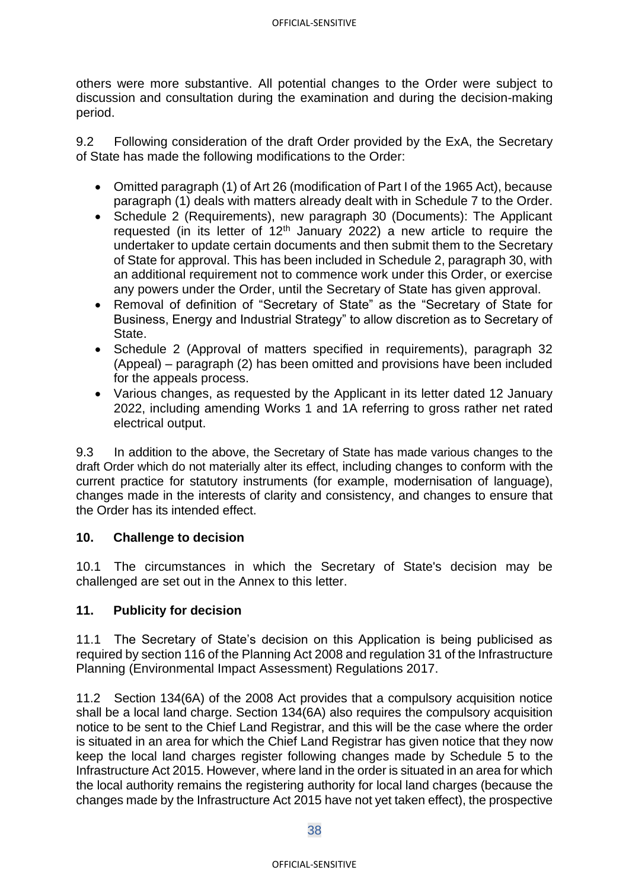others were more substantive. All potential changes to the Order were subject to discussion and consultation during the examination and during the decision-making period.

9.2 Following consideration of the draft Order provided by the ExA, the Secretary of State has made the following modifications to the Order:

- Omitted paragraph (1) of Art 26 (modification of Part I of the 1965 Act), because paragraph (1) deals with matters already dealt with in Schedule 7 to the Order.
- Schedule 2 (Requirements), new paragraph 30 (Documents): The Applicant requested (in its letter of  $12<sup>th</sup>$  January 2022) a new article to require the undertaker to update certain documents and then submit them to the Secretary of State for approval. This has been included in Schedule 2, paragraph 30, with an additional requirement not to commence work under this Order, or exercise any powers under the Order, until the Secretary of State has given approval.
- Removal of definition of "Secretary of State" as the "Secretary of State for Business, Energy and Industrial Strategy" to allow discretion as to Secretary of State.
- Schedule 2 (Approval of matters specified in requirements), paragraph 32 (Appeal) – paragraph (2) has been omitted and provisions have been included for the appeals process.
- Various changes, as requested by the Applicant in its letter dated 12 January 2022, including amending Works 1 and 1A referring to gross rather net rated electrical output.

9.3 In addition to the above, the Secretary of State has made various changes to the draft Order which do not materially alter its effect, including changes to conform with the current practice for statutory instruments (for example, modernisation of language), changes made in the interests of clarity and consistency, and changes to ensure that the Order has its intended effect.

## **10. Challenge to decision**

10.1 The circumstances in which the Secretary of State's decision may be challenged are set out in the Annex to this letter.

## **11. Publicity for decision**

11.1 The Secretary of State's decision on this Application is being publicised as required by section 116 of the Planning Act 2008 and regulation 31 of the Infrastructure Planning (Environmental Impact Assessment) Regulations 2017.

11.2 Section 134(6A) of the 2008 Act provides that a compulsory acquisition notice shall be a local land charge. Section 134(6A) also requires the compulsory acquisition notice to be sent to the Chief Land Registrar, and this will be the case where the order is situated in an area for which the Chief Land Registrar has given notice that they now keep the local land charges register following changes made by Schedule 5 to the Infrastructure Act 2015. However, where land in the order is situated in an area for which the local authority remains the registering authority for local land charges (because the changes made by the Infrastructure Act 2015 have not yet taken effect), the prospective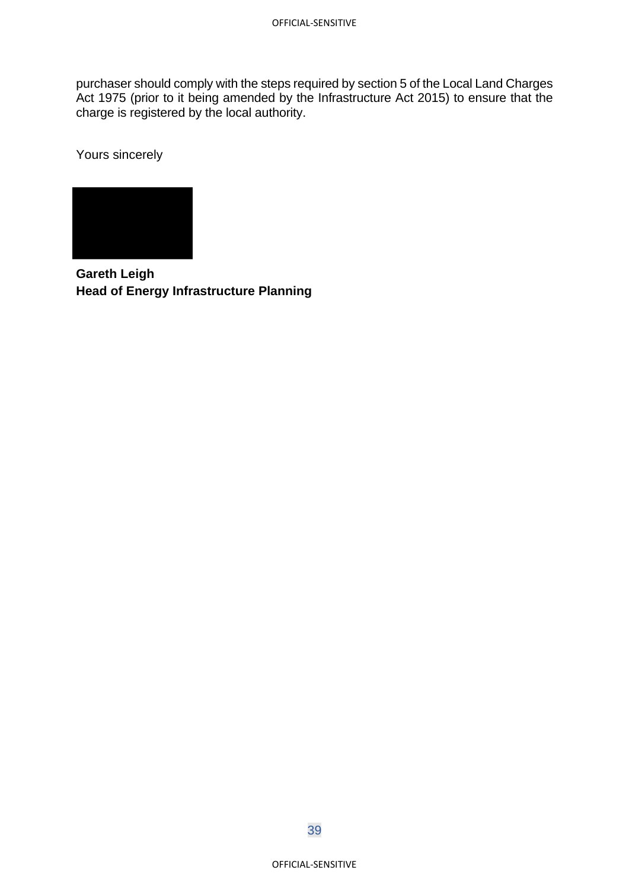purchaser should comply with the steps required by section 5 of the Local Land Charges Act 1975 (prior to it being amended by the Infrastructure Act 2015) to ensure that the charge is registered by the local authority.

Yours sincerely



**Gareth Leigh Head of Energy Infrastructure Planning** 

39

OFFICIAL-SENSITIVE